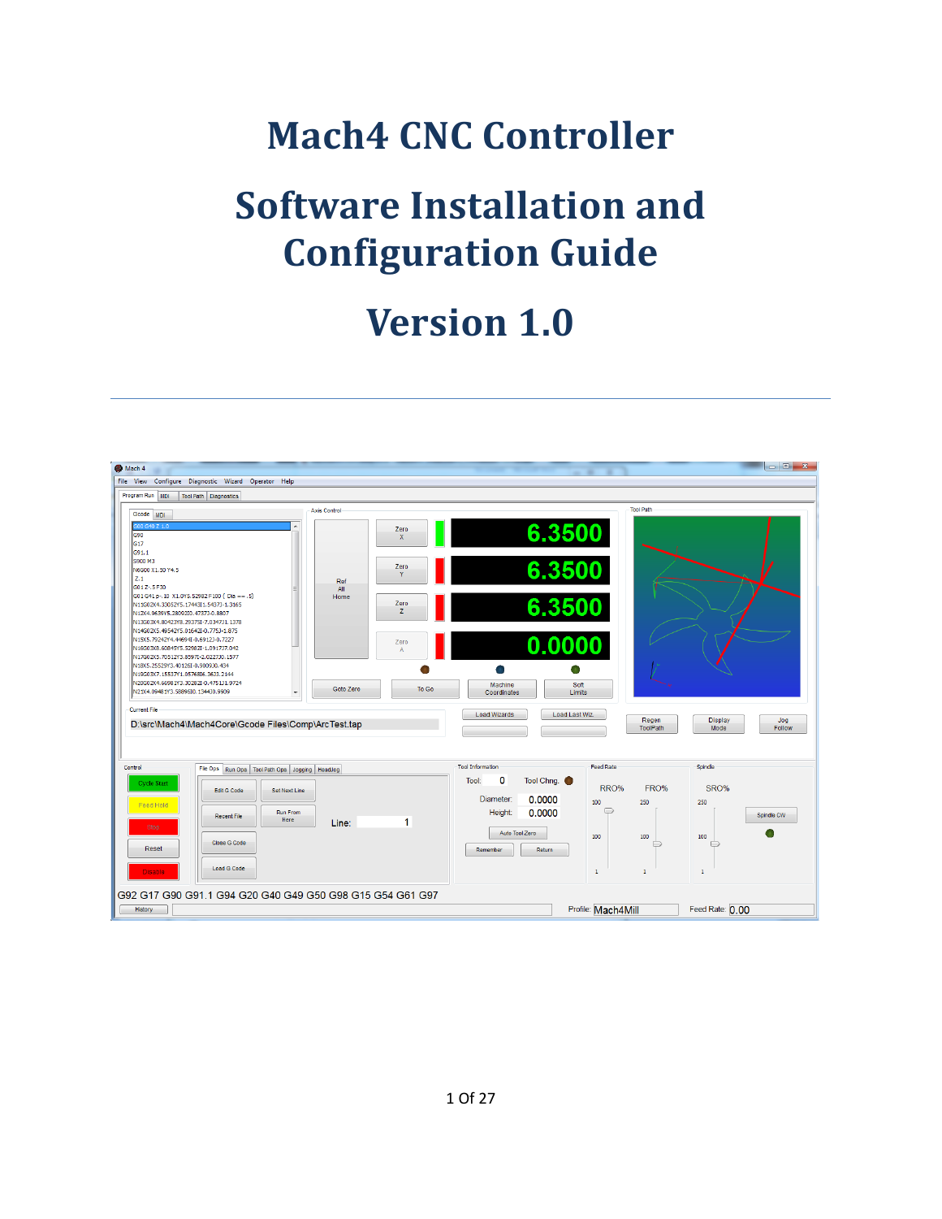# **Mach4 CNC Controller**

# **Software Installation and Configuration Guide**

# **Version 1.0**

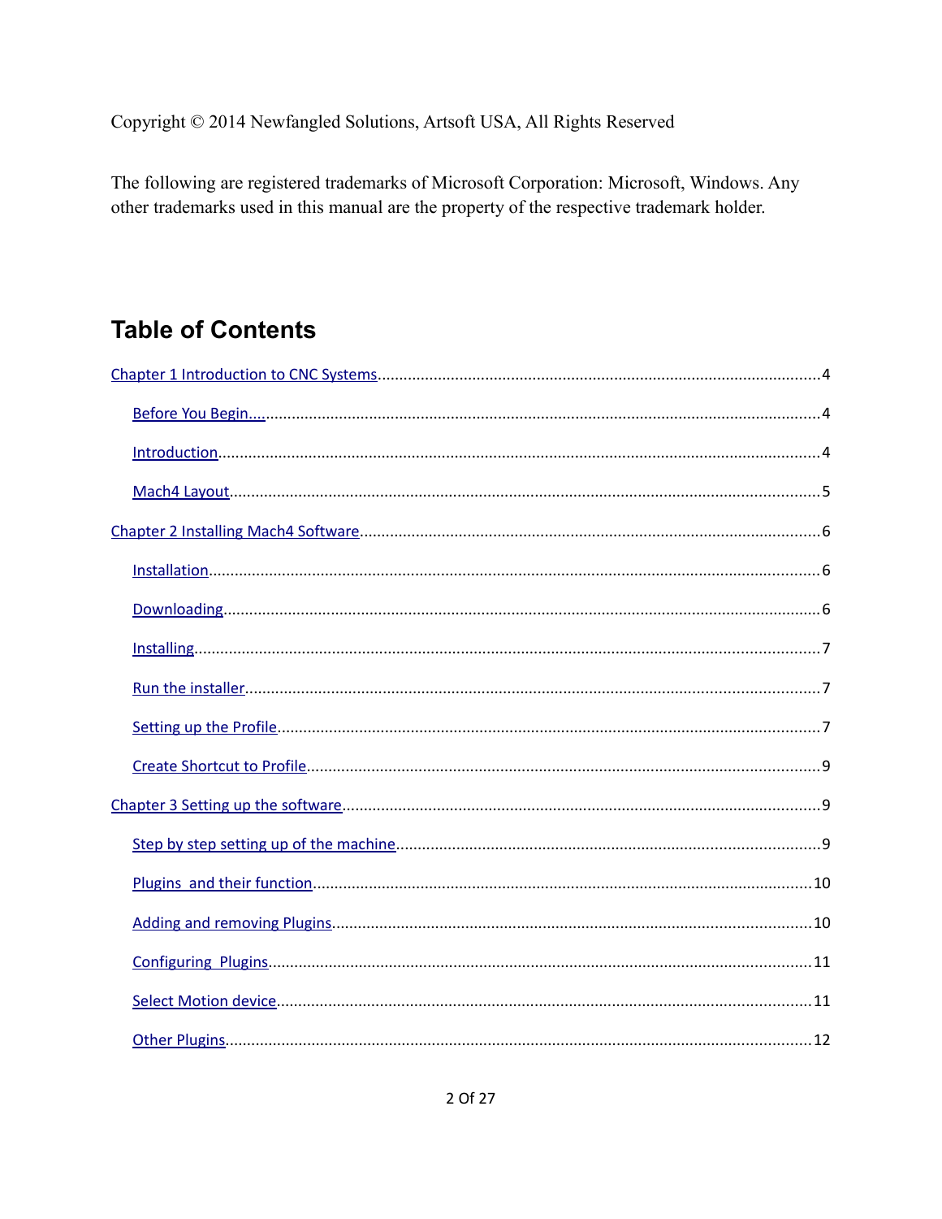Copyright © 2014 Newfangled Solutions, Artsoft USA, All Rights Reserved

The following are registered trademarks of Microsoft Corporation: Microsoft, Windows. Any other trademarks used in this manual are the property of the respective trademark holder.

# **Table of Contents**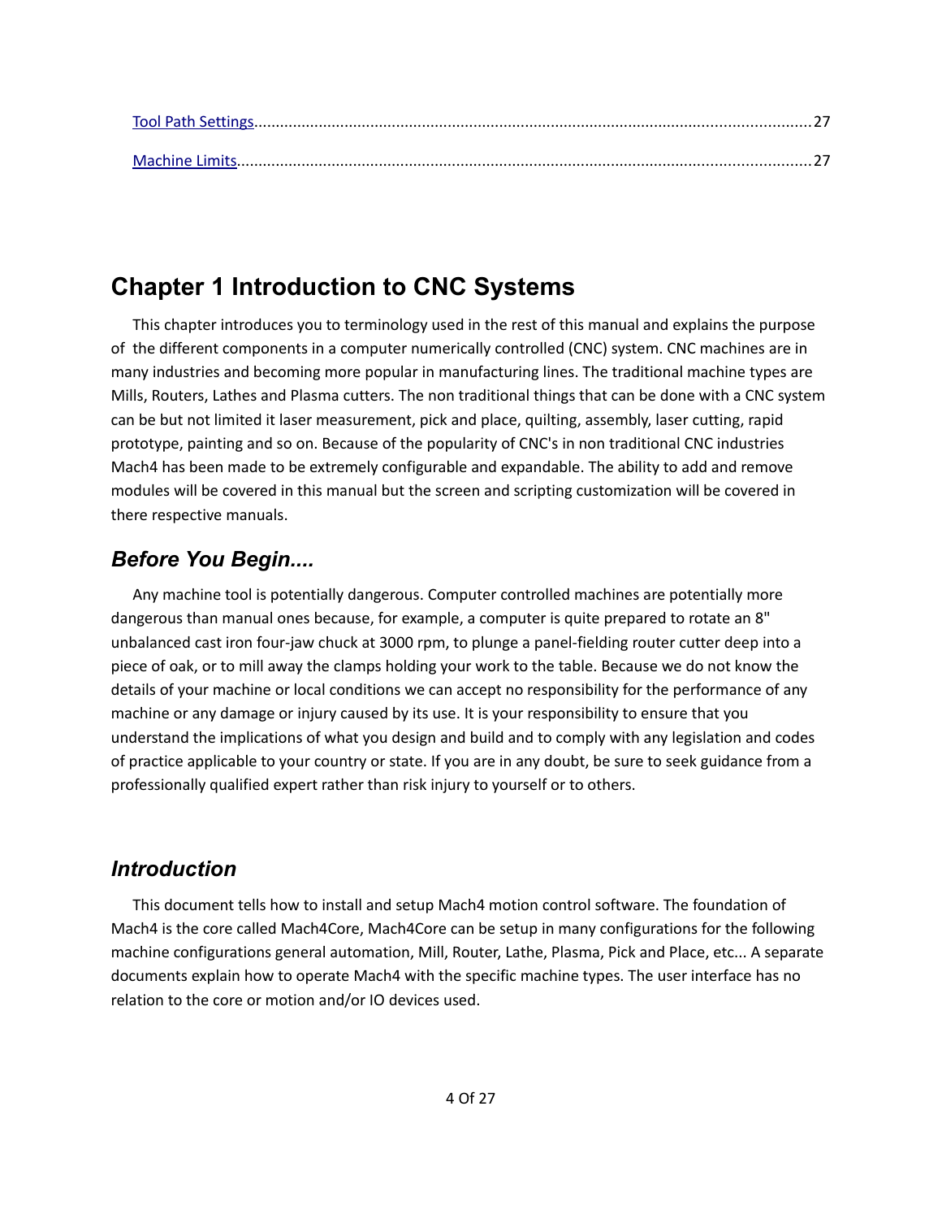# <span id="page-3-0"></span>**Chapter 1 Introduction to CNC Systems**

This chapter introduces you to terminology used in the rest of this manual and explains the purpose of the different components in a computer numerically controlled (CNC) system. CNC machines are in many industries and becoming more popular in manufacturing lines. The traditional machine types are Mills, Routers, Lathes and Plasma cutters. The non traditional things that can be done with a CNC system can be but not limited it laser measurement, pick and place, quilting, assembly, laser cutting, rapid prototype, painting and so on. Because of the popularity of CNC's in non traditional CNC industries Mach4 has been made to be extremely configurable and expandable. The ability to add and remove modules will be covered in this manual but the screen and scripting customization will be covered in there respective manuals.

## <span id="page-3-2"></span>*Before You Begin....*

Any machine tool is potentially dangerous. Computer controlled machines are potentially more dangerous than manual ones because, for example, a computer is quite prepared to rotate an 8" unbalanced cast iron four-jaw chuck at 3000 rpm, to plunge a panel-fielding router cutter deep into a piece of oak, or to mill away the clamps holding your work to the table. Because we do not know the details of your machine or local conditions we can accept no responsibility for the performance of any machine or any damage or injury caused by its use. It is your responsibility to ensure that you understand the implications of what you design and build and to comply with any legislation and codes of practice applicable to your country or state. If you are in any doubt, be sure to seek guidance from a professionally qualified expert rather than risk injury to yourself or to others.

## <span id="page-3-1"></span>*Introduction*

This document tells how to install and setup Mach4 motion control software. The foundation of Mach4 is the core called Mach4Core, Mach4Core can be setup in many configurations for the following machine configurations general automation, Mill, Router, Lathe, Plasma, Pick and Place, etc... A separate documents explain how to operate Mach4 with the specific machine types. The user interface has no relation to the core or motion and/or IO devices used.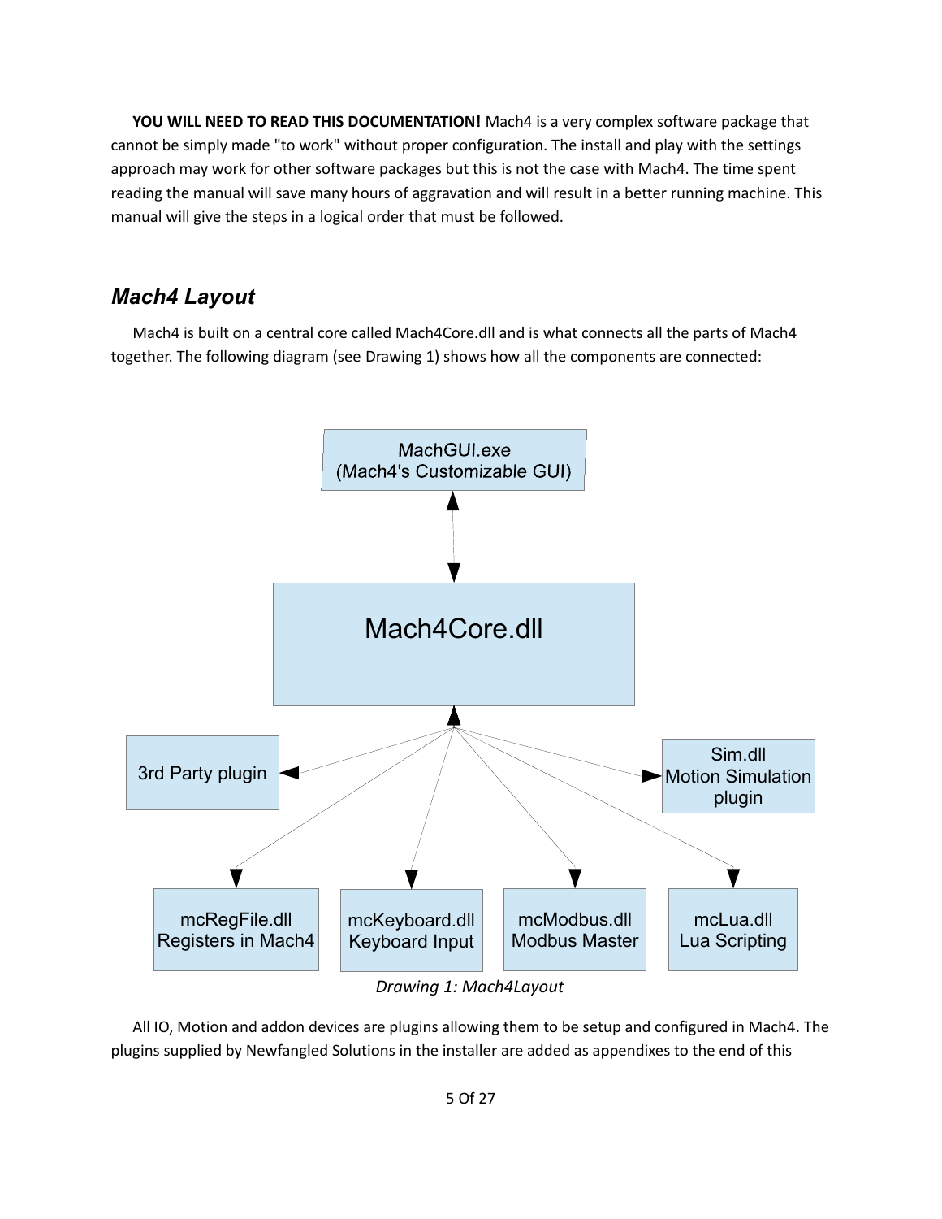**YOU WILL NEED TO READ THIS DOCUMENTATION!** Mach4 is a very complex software package that cannot be simply made "to work" without proper configuration. The install and play with the settings approach may work for other software packages but this is not the case with Mach4. The time spent reading the manual will save many hours of aggravation and will result in a better running machine. This manual will give the steps in a logical order that must be followed.

## <span id="page-4-0"></span>*Mach4 Layout*

Mach4 is built on a central core called Mach4Core.dll and is what connects all the parts of Mach4 together. The following diagram (see [Drawing 1\)](#page-4-1) shows how all the components are connected:



<span id="page-4-1"></span>*Drawing 1: Mach4Layout*

All IO, Motion and addon devices are plugins allowing them to be setup and configured in Mach4. The plugins supplied by Newfangled Solutions in the installer are added as appendixes to the end of this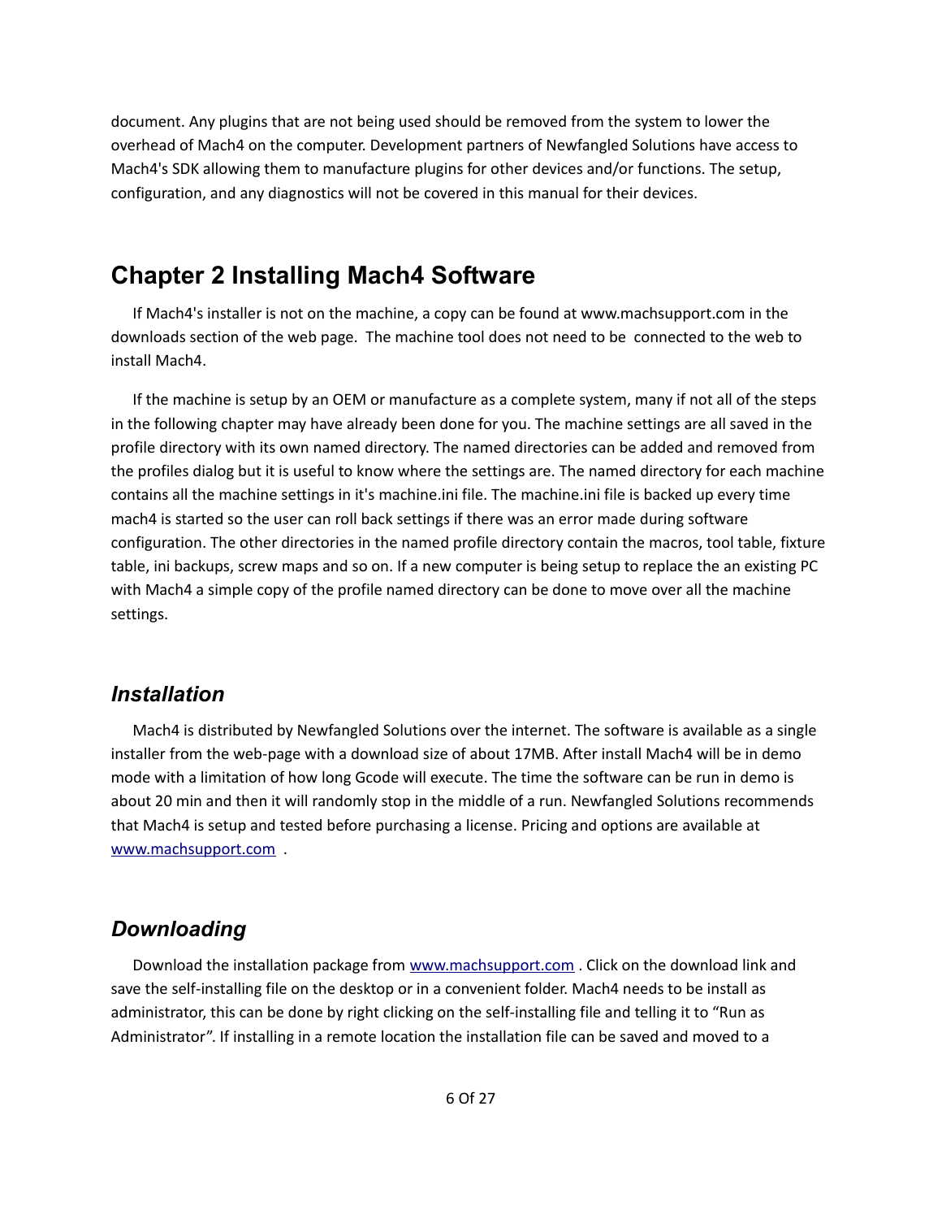document. Any plugins that are not being used should be removed from the system to lower the overhead of Mach4 on the computer. Development partners of Newfangled Solutions have access to Mach4's SDK allowing them to manufacture plugins for other devices and/or functions. The setup, configuration, and any diagnostics will not be covered in this manual for their devices.

# <span id="page-5-2"></span>**Chapter 2 Installing Mach4 Software**

If Mach4's installer is not on the machine, a copy can be found at www.machsupport.com in the downloads section of the web page. The machine tool does not need to be connected to the web to install Mach4.

If the machine is setup by an OEM or manufacture as a complete system, many if not all of the steps in the following chapter may have already been done for you. The machine settings are all saved in the profile directory with its own named directory. The named directories can be added and removed from the profiles dialog but it is useful to know where the settings are. The named directory for each machine contains all the machine settings in it's machine.ini file. The machine.ini file is backed up every time mach4 is started so the user can roll back settings if there was an error made during software configuration. The other directories in the named profile directory contain the macros, tool table, fixture table, ini backups, screw maps and so on. If a new computer is being setup to replace the an existing PC with Mach4 a simple copy of the profile named directory can be done to move over all the machine settings.

#### <span id="page-5-1"></span>*Installation*

Mach4 is distributed by Newfangled Solutions over the internet. The software is available as a single installer from the web-page with a download size of about 17MB. After install Mach4 will be in demo mode with a limitation of how long Gcode will execute. The time the software can be run in demo is about 20 min and then it will randomly stop in the middle of a run. Newfangled Solutions recommends that Mach4 is setup and tested before purchasing a license. Pricing and options are available at [www.machsupport.com](http://www.machsupport.com/) .

#### <span id="page-5-0"></span>*Downloading*

Download the installation package from [www.machsupport.com](http://www.machsupport.com/) . Click on the download link and save the self-installing file on the desktop or in a convenient folder. Mach4 needs to be install as administrator, this can be done by right clicking on the self-installing file and telling it to "Run as Administrator". If installing in a remote location the installation file can be saved and moved to a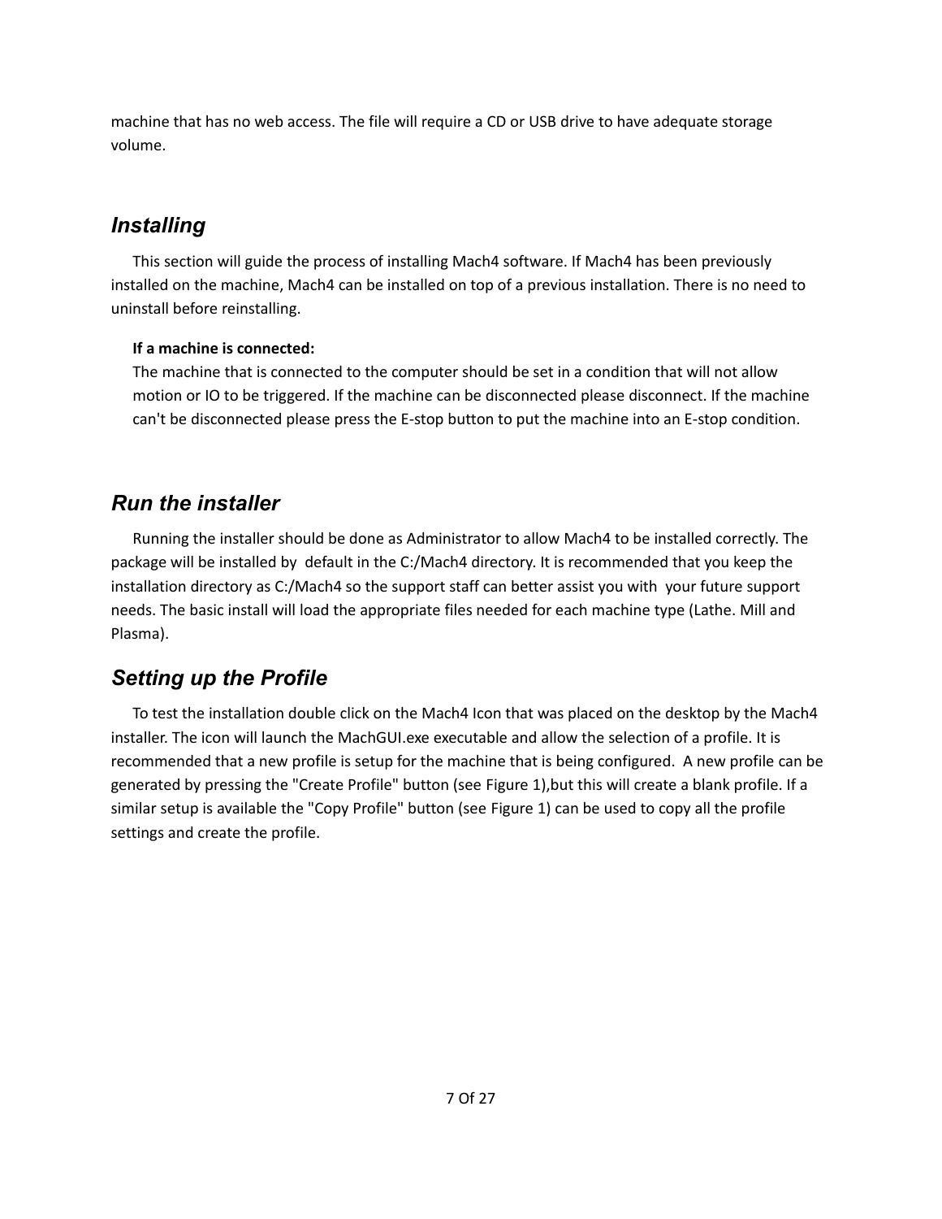machine that has no web access. The file will require a CD or USB drive to have adequate storage volume.

# <span id="page-6-2"></span>*Installing*

This section will guide the process of installing Mach4 software. If Mach4 has been previously installed on the machine, Mach4 can be installed on top of a previous installation. There is no need to uninstall before reinstalling.

#### **If a machine is connected:**

The machine that is connected to the computer should be set in a condition that will not allow motion or IO to be triggered. If the machine can be disconnected please disconnect. If the machine can't be disconnected please press the E-stop button to put the machine into an E-stop condition.

## <span id="page-6-1"></span>*Run the installer*

Running the installer should be done as Administrator to allow Mach4 to be installed correctly. The package will be installed by default in the C:/Mach4 directory. It is recommended that you keep the installation directory as C:/Mach4 so the support staff can better assist you with your future support needs. The basic install will load the appropriate files needed for each machine type (Lathe. Mill and Plasma).

# <span id="page-6-0"></span>*Setting up the Profile*

To test the installation double click on the Mach4 Icon that was placed on the desktop by the Mach4 installer. The icon will launch the MachGUI.exe executable and allow the selection of a profile. It is recommended that a new profile is setup for the machine that is being configured. A new profile can be generated by pressing the "Create Profile" button (see [Figure 1\)](#page-7-1),but this will create a blank profile. If a similar setup is available the "Copy Profile" button (see [Figure 1\)](#page-7-1) can be used to copy all the profile settings and create the profile.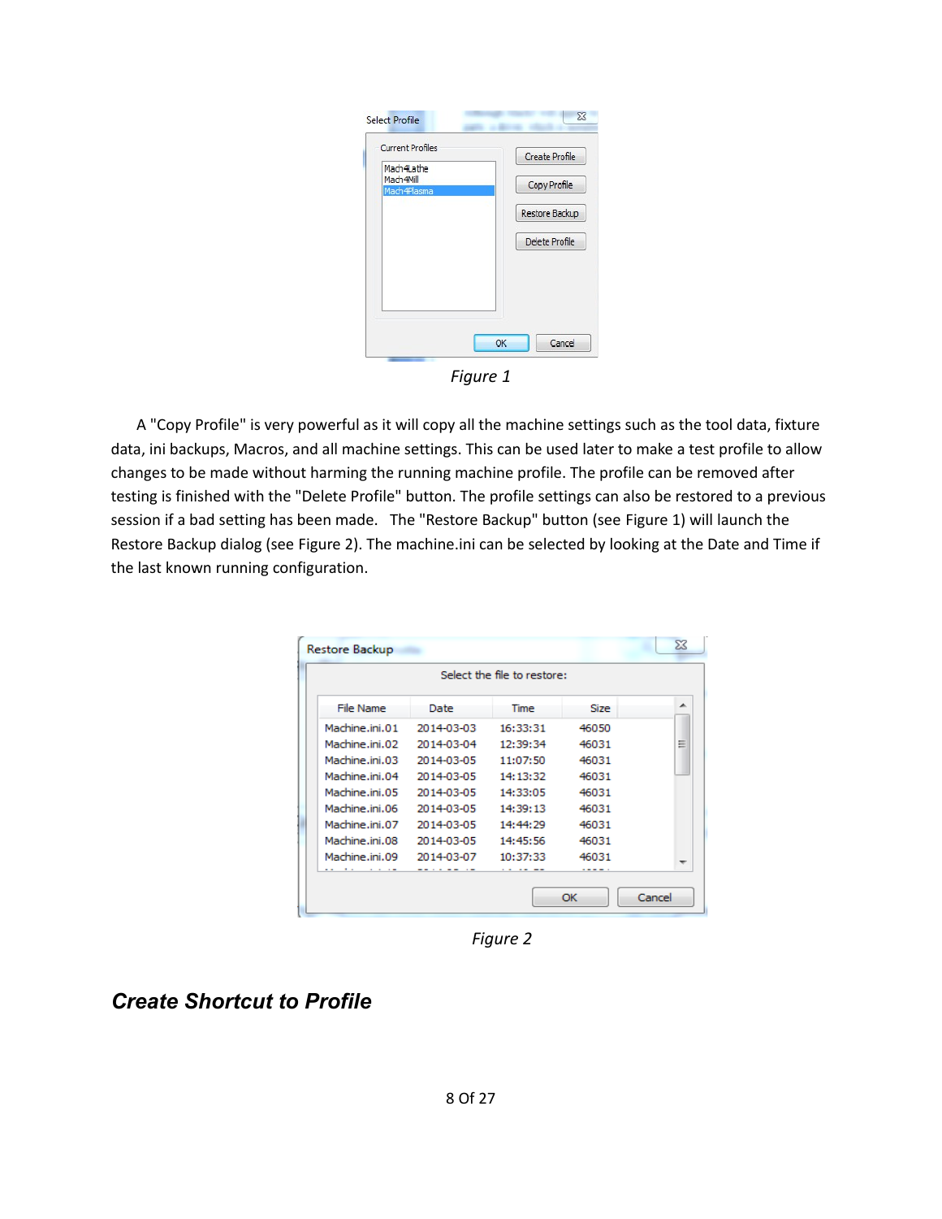| <b>Current Profiles</b>                | <b>Create Profile</b> |
|----------------------------------------|-----------------------|
| Mach4Lathe<br>Mach4Mill<br>Mach4Plasma | Copy Profile          |
|                                        | Restore Backup        |
|                                        | Delete Profile        |
|                                        |                       |
|                                        |                       |
|                                        |                       |

<span id="page-7-1"></span>*Figure 1*

 A "Copy Profile" is very powerful as it will copy all the machine settings such as the tool data, fixture data, ini backups, Macros, and all machine settings. This can be used later to make a test profile to allow changes to be made without harming the running machine profile. The profile can be removed after testing is finished with the "Delete Profile" button. The profile settings can also be restored to a previous session if a bad setting has been made. The "Restore Backup" button (see [Figure 1\)](#page-7-1) will launch the Restore Backup dialog (see [Figure 2\)](#page-7-2). The machine.ini can be selected by looking at the Date and Time if the last known running configuration.

| Restore Backup |            |                             |       | $\Sigma$ |
|----------------|------------|-----------------------------|-------|----------|
|                |            | Select the file to restore: |       |          |
| File Name      | Date       | Time                        | Size  | ▲        |
| Machine.ini.01 | 2014-03-03 | 16:33:31                    | 46050 |          |
| Machine.ini.02 | 2014-03-04 | 12:39:34                    | 46031 | Ξ        |
| Machine.ini.03 | 2014-03-05 | 11:07:50                    | 46031 |          |
| Machine.ini.04 | 2014-03-05 | 14:13:32                    | 46031 |          |
| Machine.ini.05 | 2014-03-05 | 14:33:05                    | 46031 |          |
| Machine.ini.06 | 2014-03-05 | 14:39:13                    | 46031 |          |
| Machine.ini.07 | 2014-03-05 | 14:44:29                    | 46031 |          |
| Machine.ini.08 | 2014-03-05 | 14:45:56                    | 46031 |          |
| Machine.ini.09 | 2014-03-07 | 10:37:33                    | 46031 |          |
|                |            |                             |       |          |
|                |            |                             | OK    | Cancel   |

<span id="page-7-2"></span>*Figure 2*

<span id="page-7-0"></span>*Create Shortcut to Profile*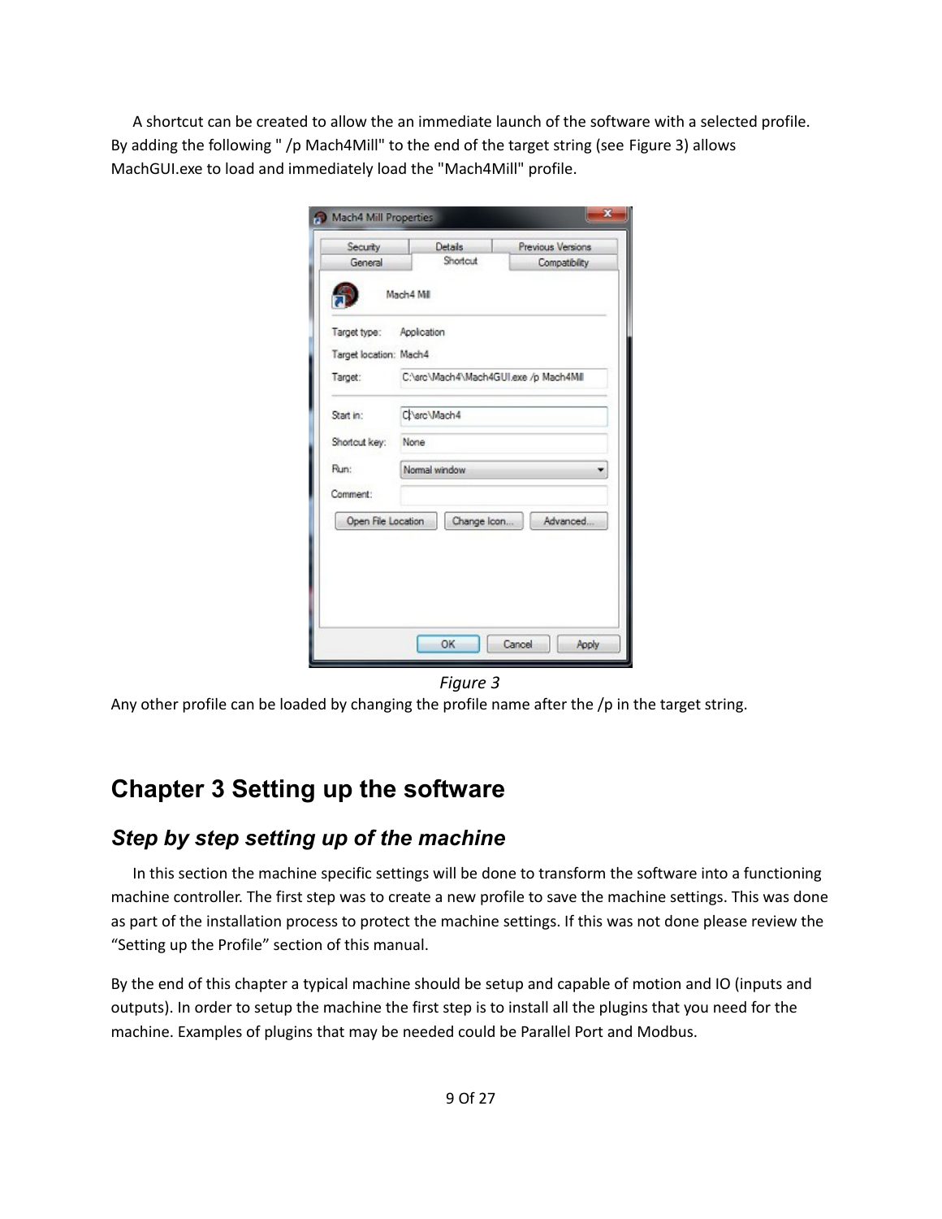A shortcut can be created to allow the an immediate launch of the software with a selected profile. By adding the following " /p Mach4Mill" to the end of the target string (see [Figure 3\)](#page-8-2) allows MachGUI.exe to load and immediately load the "Mach4Mill" profile.

| Security                 |             | <b>Details</b> | Previous Versions                     |  |  |  |  |  |
|--------------------------|-------------|----------------|---------------------------------------|--|--|--|--|--|
| General                  |             | Shortcut       | Compatibility                         |  |  |  |  |  |
|                          | Mach4 Mil   |                |                                       |  |  |  |  |  |
| Target type: Application |             |                |                                       |  |  |  |  |  |
| Target location: Mach4   |             |                |                                       |  |  |  |  |  |
| Target:                  |             |                | C:\src\Mach4\Mach4GUI.exe /p Mach4MII |  |  |  |  |  |
| Start in:                | Charc Mach4 |                |                                       |  |  |  |  |  |
| Shortcut key:            | None        |                |                                       |  |  |  |  |  |
| Run:                     |             | Normal window  |                                       |  |  |  |  |  |
| Comment:                 |             |                |                                       |  |  |  |  |  |
| Open File Location       |             | Change Icon    | Advanced                              |  |  |  |  |  |
|                          |             |                |                                       |  |  |  |  |  |
|                          |             |                |                                       |  |  |  |  |  |
|                          |             |                |                                       |  |  |  |  |  |
|                          |             |                |                                       |  |  |  |  |  |
|                          |             |                |                                       |  |  |  |  |  |

<span id="page-8-2"></span>*Figure 3*

Any other profile can be loaded by changing the profile name after the /p in the target string.

# <span id="page-8-1"></span>**Chapter 3 Setting up the software**

## <span id="page-8-0"></span>*Step by step setting up of the machine*

In this section the machine specific settings will be done to transform the software into a functioning machine controller. The first step was to create a new profile to save the machine settings. This was done as part of the installation process to protect the machine settings. If this was not done please review the "Setting up the Profile" section of this manual.

By the end of this chapter a typical machine should be setup and capable of motion and IO (inputs and outputs). In order to setup the machine the first step is to install all the plugins that you need for the machine. Examples of plugins that may be needed could be Parallel Port and Modbus.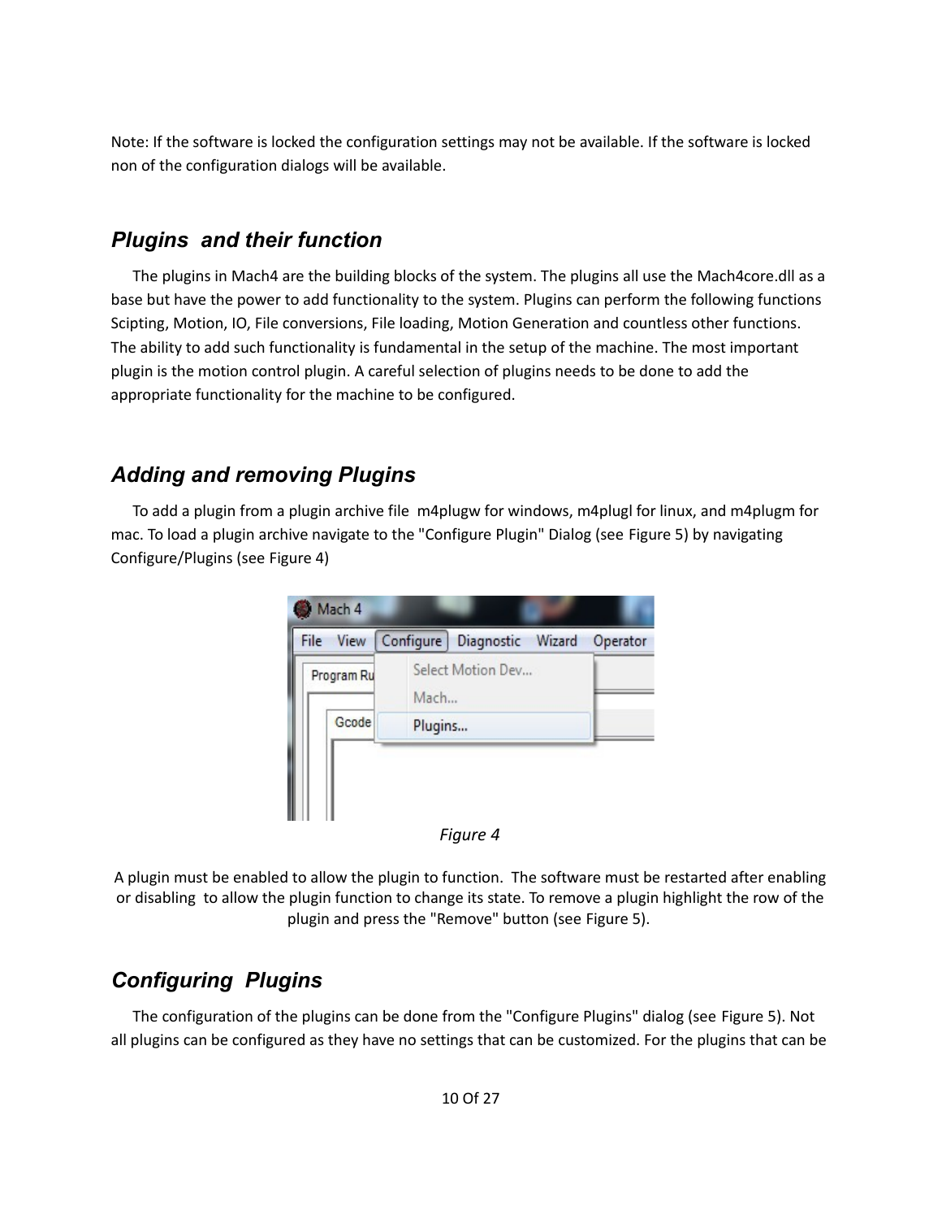Note: If the software is locked the configuration settings may not be available. If the software is locked non of the configuration dialogs will be available.

## <span id="page-9-2"></span>*Plugins and their function*

The plugins in Mach4 are the building blocks of the system. The plugins all use the Mach4core.dll as a base but have the power to add functionality to the system. Plugins can perform the following functions Scipting, Motion, IO, File conversions, File loading, Motion Generation and countless other functions. The ability to add such functionality is fundamental in the setup of the machine. The most important plugin is the motion control plugin. A careful selection of plugins needs to be done to add the appropriate functionality for the machine to be configured.

# <span id="page-9-1"></span>*Adding and removing Plugins*

To add a plugin from a plugin archive file m4plugw for windows, m4plugl for linux, and m4plugm for mac. To load a plugin archive navigate to the "Configure Plugin" Dialog (see [Figure 5\)](#page-10-1) by navigating Configure/Plugins (see [Figure 4\)](#page-9-3)



<span id="page-9-3"></span>

A plugin must be enabled to allow the plugin to function. The software must be restarted after enabling or disabling to allow the plugin function to change its state. To remove a plugin highlight the row of the plugin and press the "Remove" button (see [Figure 5\)](#page-10-1).

# <span id="page-9-0"></span>*Configuring Plugins*

The configuration of the plugins can be done from the "Configure Plugins" dialog (see [Figure 5\)](#page-10-1). Not all plugins can be configured as they have no settings that can be customized. For the plugins that can be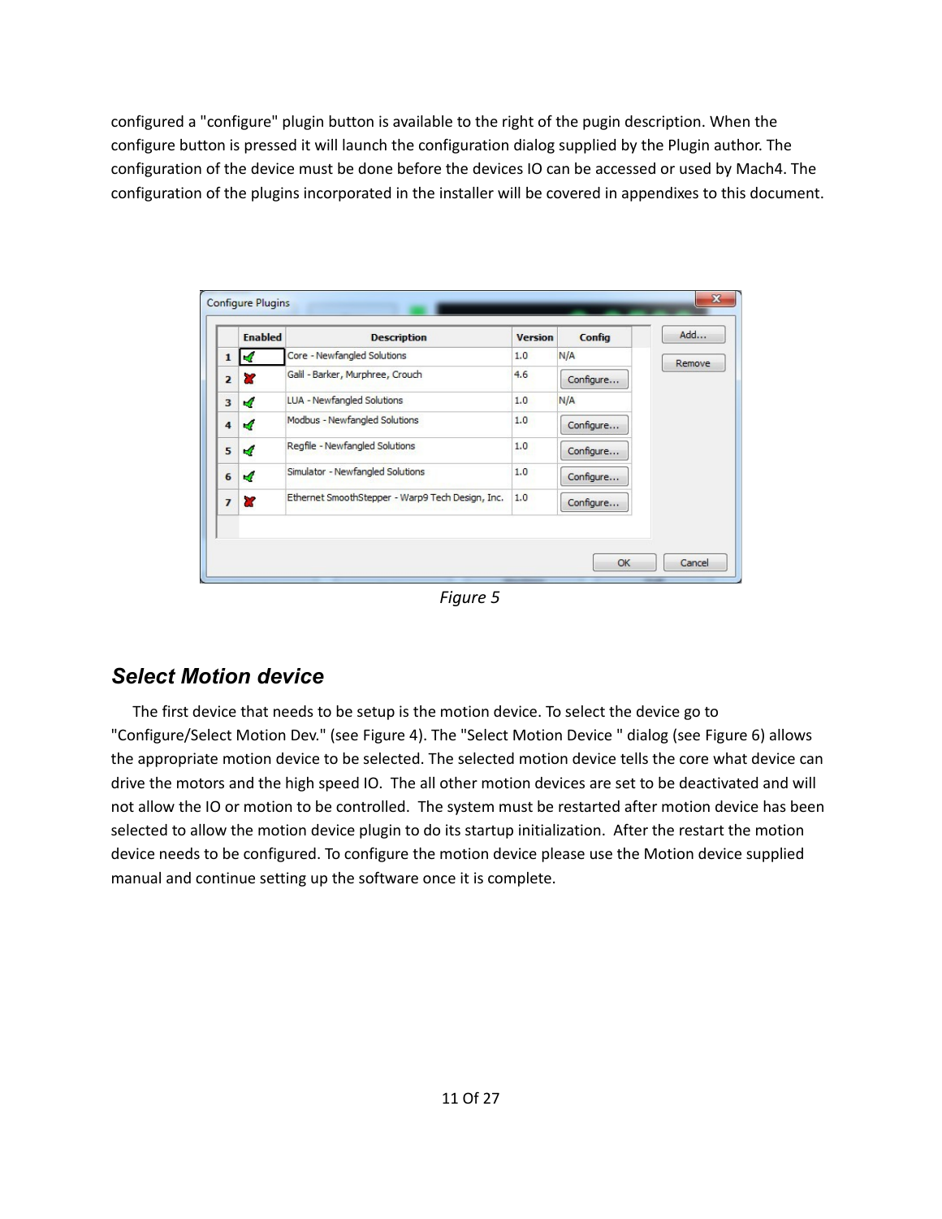configured a "configure" plugin button is available to the right of the pugin description. When the configure button is pressed it will launch the configuration dialog supplied by the Plugin author. The configuration of the device must be done before the devices IO can be accessed or used by Mach4. The configuration of the plugins incorporated in the installer will be covered in appendixes to this document.

|                | <b>Enabled</b> | <b>Description</b>                               | <b>Version</b> | Config    | Add    |
|----------------|----------------|--------------------------------------------------|----------------|-----------|--------|
| $\mathbf{1}$   | и              | Core - Newfangled Solutions                      | 1.0            | N/A       | Remove |
| $\overline{2}$ | æ              | Galil - Barker, Murphree, Crouch                 | 4.6            | Configure |        |
| 3              | ×,             | LUA - Newfangled Solutions                       | 1.0            | N/A       |        |
| $\overline{4}$ | ×.             | Modbus - Newfangled Solutions                    | 1.0            | Configure |        |
| 5              | $\mathcal{A}$  | Regfile - Newfangled Solutions                   | 1.0            | Configure |        |
| 6              | $\mathcal{A}$  | Simulator - Newfangled Solutions                 | 1.0            | Configure |        |
| $\overline{ }$ | ×              | Ethernet SmoothStepper - Warp9 Tech Design, Inc. | 1.0            | Configure |        |
|                |                |                                                  |                |           |        |

<span id="page-10-1"></span>*Figure 5*

# <span id="page-10-0"></span>*Select Motion device*

The first device that needs to be setup is the motion device. To select the device go to "Configure/Select Motion Dev." (see [Figure 4\)](#page-9-3). The "Select Motion Device " dialog (see [Figure 6\)](#page-11-3) allows the appropriate motion device to be selected. The selected motion device tells the core what device can drive the motors and the high speed IO. The all other motion devices are set to be deactivated and will not allow the IO or motion to be controlled. The system must be restarted after motion device has been selected to allow the motion device plugin to do its startup initialization. After the restart the motion device needs to be configured. To configure the motion device please use the Motion device supplied manual and continue setting up the software once it is complete.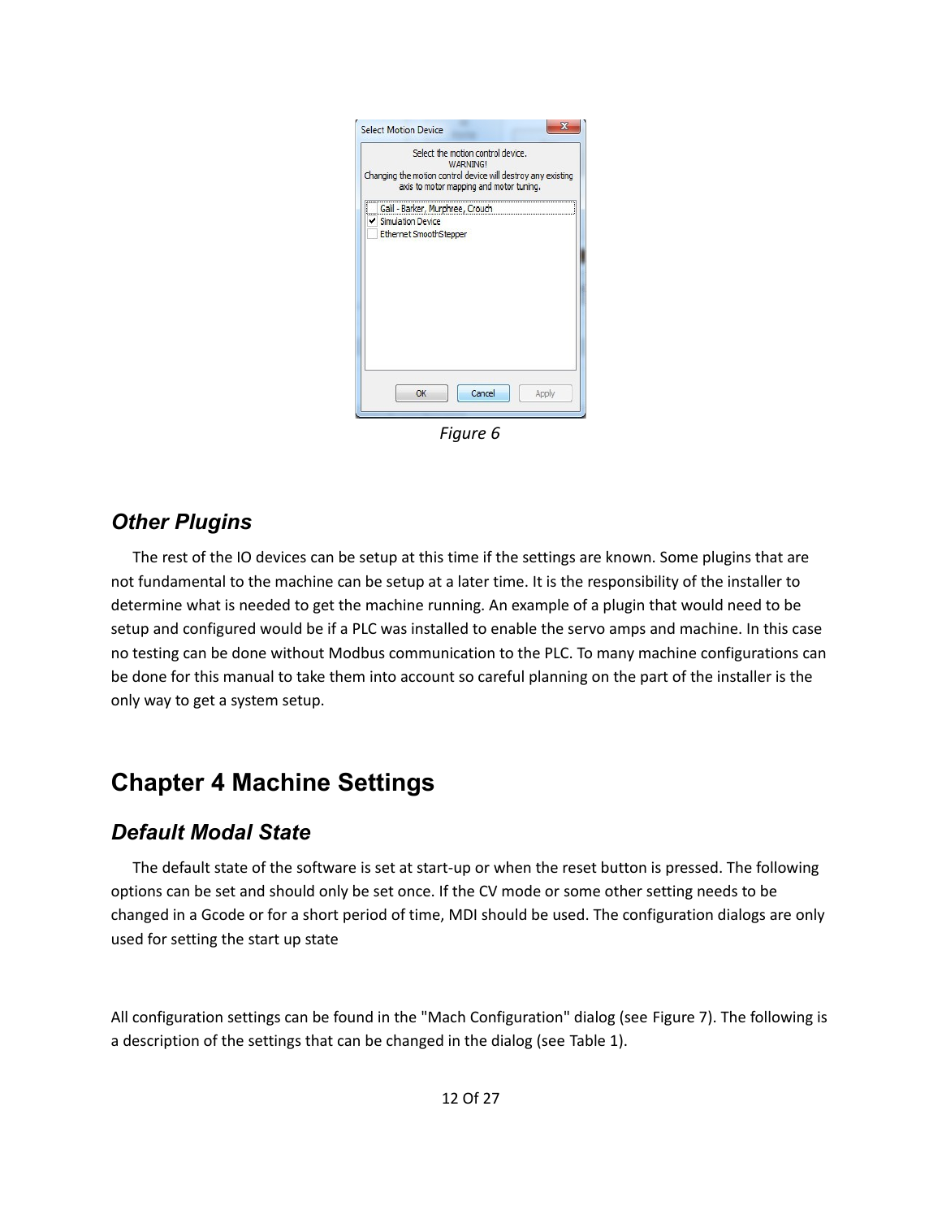| Changing the motion control device will destroy any existing |                        | Select the motion control device.<br><b>WARNING!</b><br>axis to motor mapping and motor tuning. |       |
|--------------------------------------------------------------|------------------------|-------------------------------------------------------------------------------------------------|-------|
| ł.<br>Simulation Device                                      | Ethernet SmoothStepper | Galil - Barker, Murphree, Crouch                                                                |       |
|                                                              | OK                     | Cancel                                                                                          | Apply |

<span id="page-11-3"></span>*Figure 6*

#### <span id="page-11-0"></span>*Other Plugins*

The rest of the IO devices can be setup at this time if the settings are known. Some plugins that are not fundamental to the machine can be setup at a later time. It is the responsibility of the installer to determine what is needed to get the machine running. An example of a plugin that would need to be setup and configured would be if a PLC was installed to enable the servo amps and machine. In this case no testing can be done without Modbus communication to the PLC. To many machine configurations can be done for this manual to take them into account so careful planning on the part of the installer is the only way to get a system setup.

# <span id="page-11-2"></span>**Chapter 4 Machine Settings**

## <span id="page-11-1"></span>*Default Modal State*

The default state of the software is set at start-up or when the reset button is pressed. The following options can be set and should only be set once. If the CV mode or some other setting needs to be changed in a Gcode or for a short period of time, MDI should be used. The configuration dialogs are only used for setting the start up state

All configuration settings can be found in the "Mach Configuration" dialog (see [Figure 7\)](#page-13-1). The following is a description of the settings that can be changed in the dialog (see [Table 1\)](#page-12-0).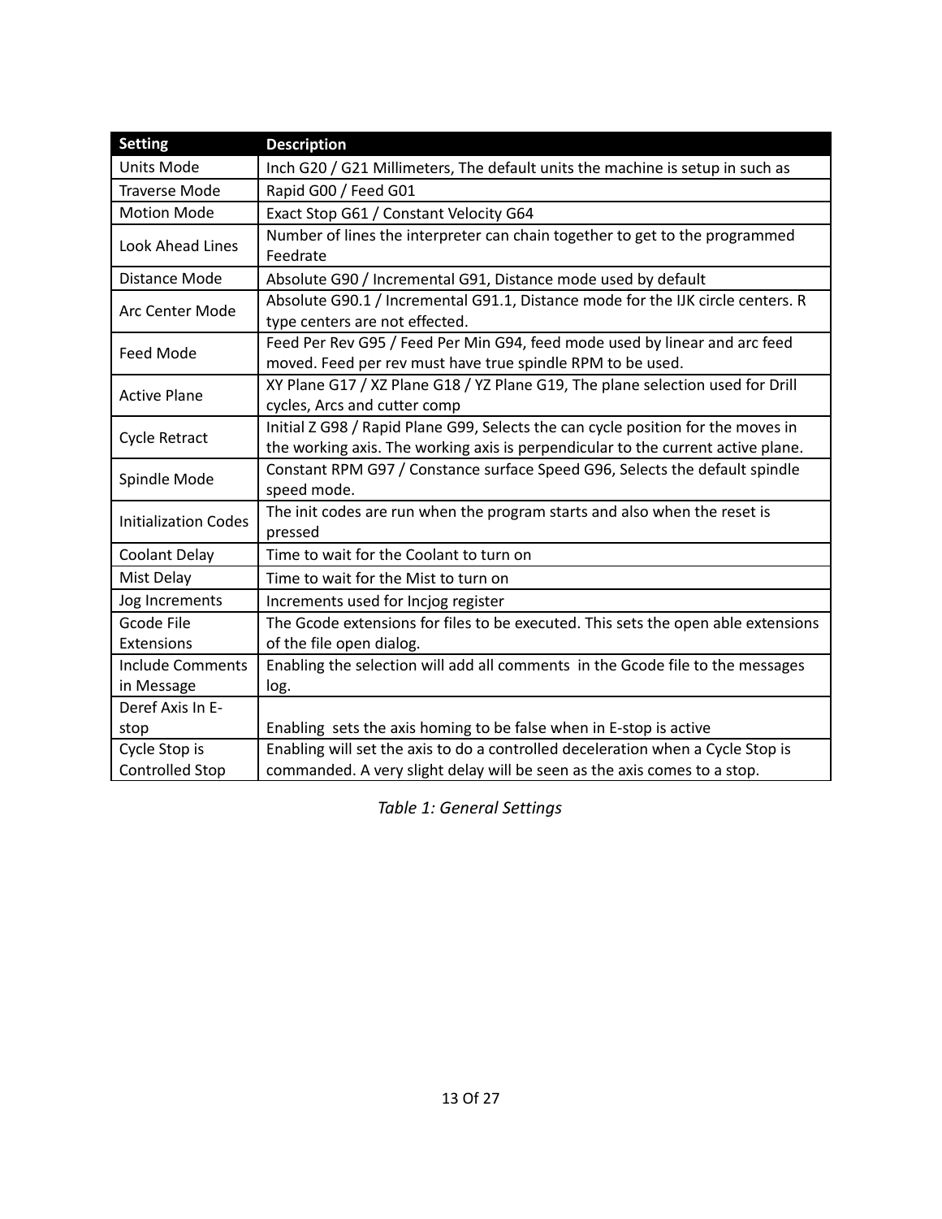| <b>Setting</b>              | <b>Description</b>                                                                                                                                                   |
|-----------------------------|----------------------------------------------------------------------------------------------------------------------------------------------------------------------|
| <b>Units Mode</b>           | Inch G20 / G21 Millimeters, The default units the machine is setup in such as                                                                                        |
| <b>Traverse Mode</b>        | Rapid G00 / Feed G01                                                                                                                                                 |
| <b>Motion Mode</b>          | Exact Stop G61 / Constant Velocity G64                                                                                                                               |
| Look Ahead Lines            | Number of lines the interpreter can chain together to get to the programmed<br>Feedrate                                                                              |
| Distance Mode               | Absolute G90 / Incremental G91, Distance mode used by default                                                                                                        |
| Arc Center Mode             | Absolute G90.1 / Incremental G91.1, Distance mode for the IJK circle centers. R<br>type centers are not effected.                                                    |
| Feed Mode                   | Feed Per Rev G95 / Feed Per Min G94, feed mode used by linear and arc feed<br>moved. Feed per rev must have true spindle RPM to be used.                             |
| <b>Active Plane</b>         | XY Plane G17 / XZ Plane G18 / YZ Plane G19, The plane selection used for Drill<br>cycles, Arcs and cutter comp                                                       |
| <b>Cycle Retract</b>        | Initial Z G98 / Rapid Plane G99, Selects the can cycle position for the moves in<br>the working axis. The working axis is perpendicular to the current active plane. |
| Spindle Mode                | Constant RPM G97 / Constance surface Speed G96, Selects the default spindle<br>speed mode.                                                                           |
| <b>Initialization Codes</b> | The init codes are run when the program starts and also when the reset is<br>pressed                                                                                 |
| <b>Coolant Delay</b>        | Time to wait for the Coolant to turn on                                                                                                                              |
| Mist Delay                  | Time to wait for the Mist to turn on                                                                                                                                 |
| Jog Increments              | Increments used for Incjog register                                                                                                                                  |
| Gcode File                  | The Gcode extensions for files to be executed. This sets the open able extensions                                                                                    |
| Extensions                  | of the file open dialog.                                                                                                                                             |
| <b>Include Comments</b>     | Enabling the selection will add all comments in the Gcode file to the messages                                                                                       |
| in Message                  | log.                                                                                                                                                                 |
| Deref Axis In E-            |                                                                                                                                                                      |
| stop                        | Enabling sets the axis homing to be false when in E-stop is active                                                                                                   |
| Cycle Stop is               | Enabling will set the axis to do a controlled deceleration when a Cycle Stop is                                                                                      |
| <b>Controlled Stop</b>      | commanded. A very slight delay will be seen as the axis comes to a stop.                                                                                             |

<span id="page-12-0"></span>*Table 1: General Settings*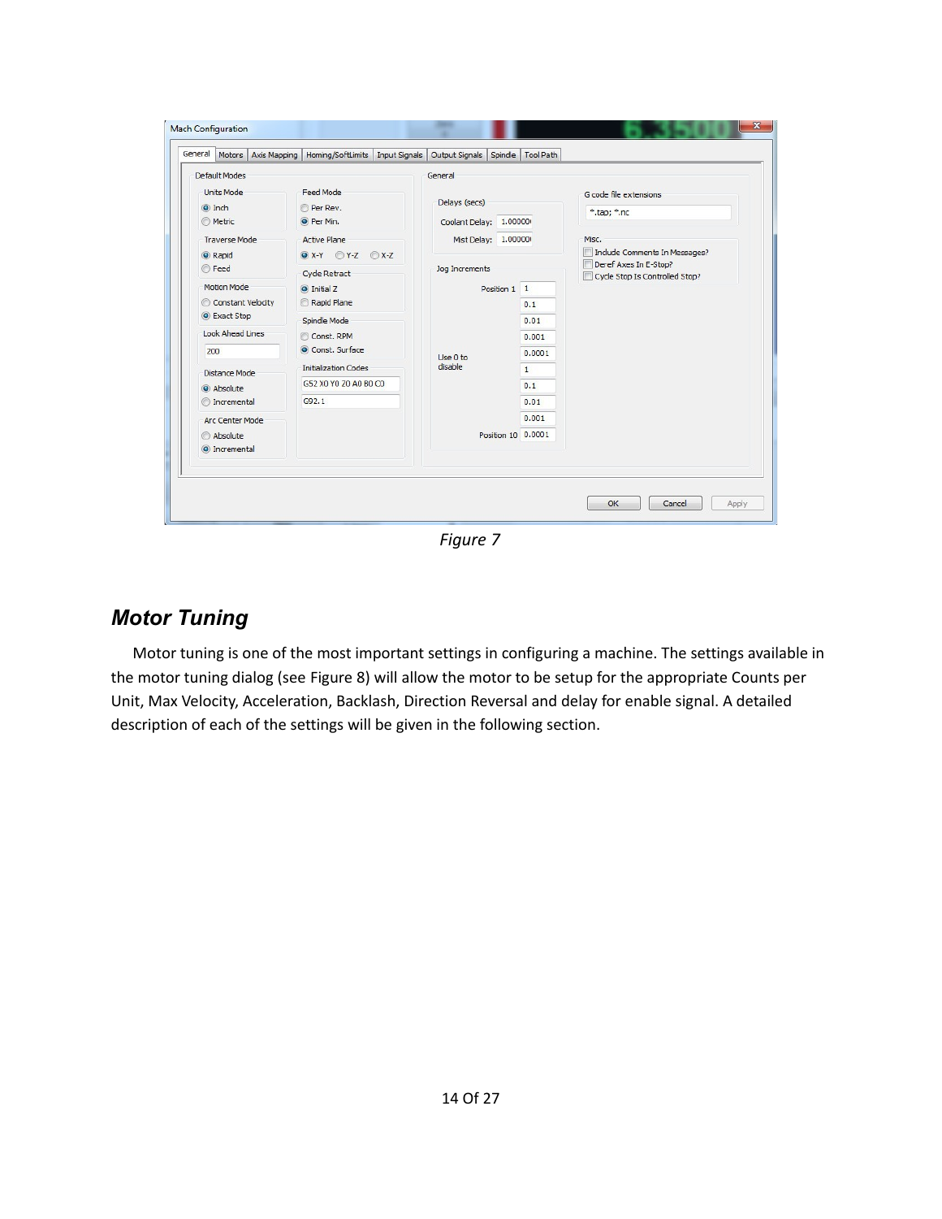| <b>Default Modes</b>                                                 |                                                                                                                                     | General                        |                                                |                                                                                          |
|----------------------------------------------------------------------|-------------------------------------------------------------------------------------------------------------------------------------|--------------------------------|------------------------------------------------|------------------------------------------------------------------------------------------|
| <b>Units Mode</b><br>O Inch<br><b>Metric</b><br><b>Traverse Mode</b> | <b>Feed Mode</b><br>Delays (secs)<br>Per Rev.<br>O Per Min.<br>Coolant Delay: 1.00000<br><b>Active Plane</b><br>Mist Delay: 1.00000 |                                | G code file extensions<br>*.tap; *.nc<br>Misc. |                                                                                          |
| C Rapid<br>◯ Feed                                                    | $\bigcirc$ X-Y $\bigcirc$ Y-Z $\bigcirc$ X-Z                                                                                        | Jog Increments                 |                                                | Include Comments In Messages?<br>Deref Axes In E-Stop?<br>Cycle Stop Is Controlled Stop? |
|                                                                      | <b>Cycle Retract</b>                                                                                                                |                                |                                                |                                                                                          |
| Motion Mode<br>Constant Velocity                                     | O Initial Z<br>Rapid Plane                                                                                                          | Position 1 1                   |                                                |                                                                                          |
| C Exact Stop                                                         |                                                                                                                                     | 0.1<br>0.01<br>0.001<br>0.0001 |                                                |                                                                                          |
| Look Ahead Lines                                                     | Spindle Mode<br>Const. RPM                                                                                                          |                                |                                                |                                                                                          |
| 200                                                                  | Const. Surface                                                                                                                      |                                |                                                |                                                                                          |
| Distance Mode                                                        | Use 0 to<br>disable<br><b>Initialization Codes</b>                                                                                  |                                | $\mathbf{1}$                                   |                                                                                          |
| Absolute                                                             | G52 X0 Y0 Z0 A0 B0 C0                                                                                                               |                                | 0.1                                            |                                                                                          |
| <b>O</b> Incremental                                                 | G92.1                                                                                                                               | 0.01                           |                                                |                                                                                          |
| Arc Center Mode                                                      |                                                                                                                                     |                                | 0.001                                          |                                                                                          |
| Absolute<br>O Incremental                                            |                                                                                                                                     | Position 10 0.0001             |                                                |                                                                                          |
|                                                                      |                                                                                                                                     |                                |                                                |                                                                                          |

<span id="page-13-1"></span>*Figure 7*

## <span id="page-13-0"></span>*Motor Tuning*

Motor tuning is one of the most important settings in configuring a machine. The settings available in the motor tuning dialog (see [Figure 8\)](#page-14-1) will allow the motor to be setup for the appropriate Counts per Unit, Max Velocity, Acceleration, Backlash, Direction Reversal and delay for enable signal. A detailed description of each of the settings will be given in the following section.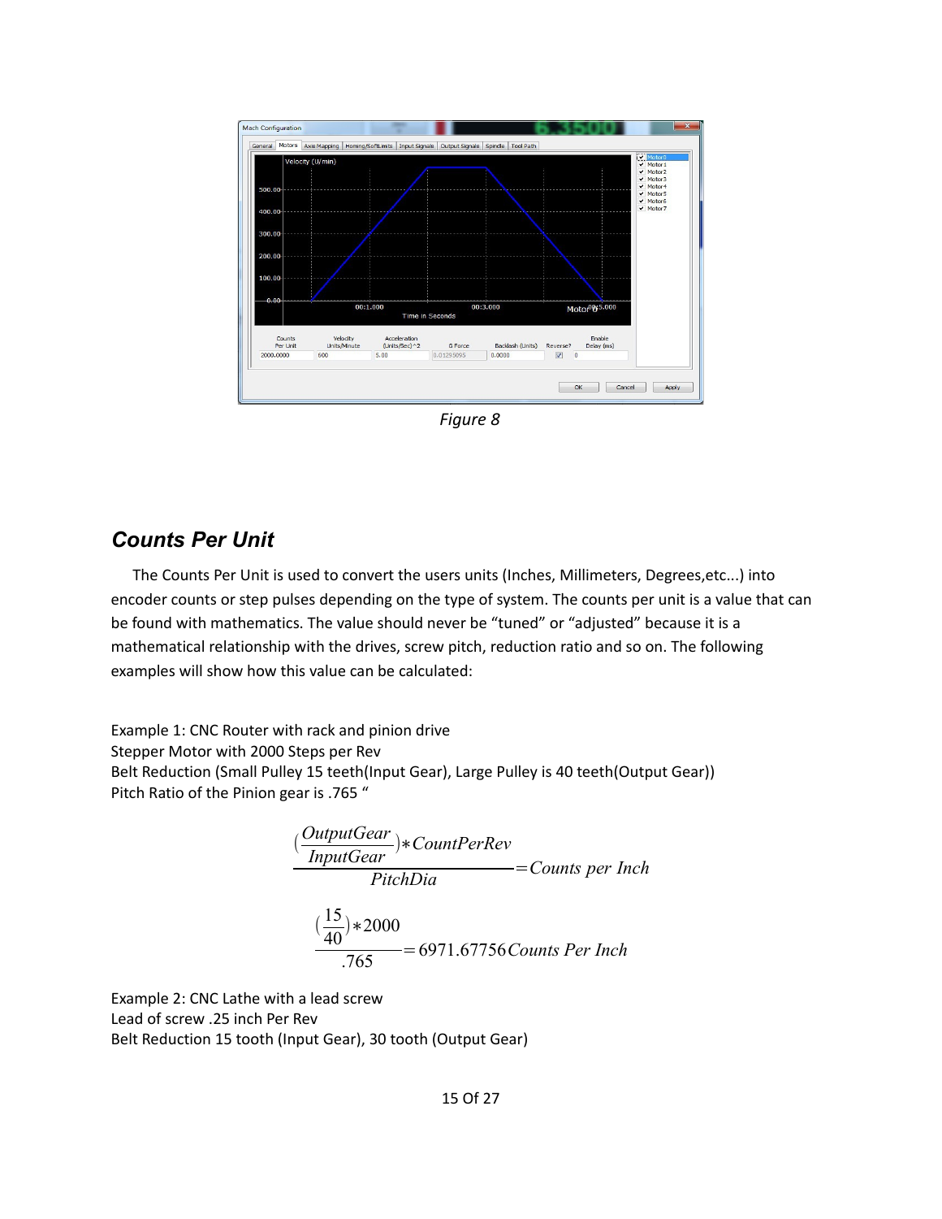

<span id="page-14-1"></span>*Figure 8*

#### <span id="page-14-0"></span>*Counts Per Unit*

The Counts Per Unit is used to convert the users units (Inches, Millimeters, Degrees,etc...) into encoder counts or step pulses depending on the type of system. The counts per unit is a value that can be found with mathematics. The value should never be "tuned" or "adjusted" because it is a mathematical relationship with the drives, screw pitch, reduction ratio and so on. The following examples will show how this value can be calculated:

Example 1: CNC Router with rack and pinion drive Stepper Motor with 2000 Steps per Rev Belt Reduction (Small Pulley 15 teeth(Input Gear), Large Pulley is 40 teeth(Output Gear)) Pitch Ratio of the Pinion gear is .765 "

$$
\frac{(\frac{OutputGear}{InputGear}) * CountPerRev}{Pitch Dia} = Counts per Inch
$$

$$
\frac{(\frac{15}{40}) * 2000}{.765} = 6971.67756 Counts Per Inch
$$

Example 2: CNC Lathe with a lead screw Lead of screw .25 inch Per Rev Belt Reduction 15 tooth (Input Gear), 30 tooth (Output Gear)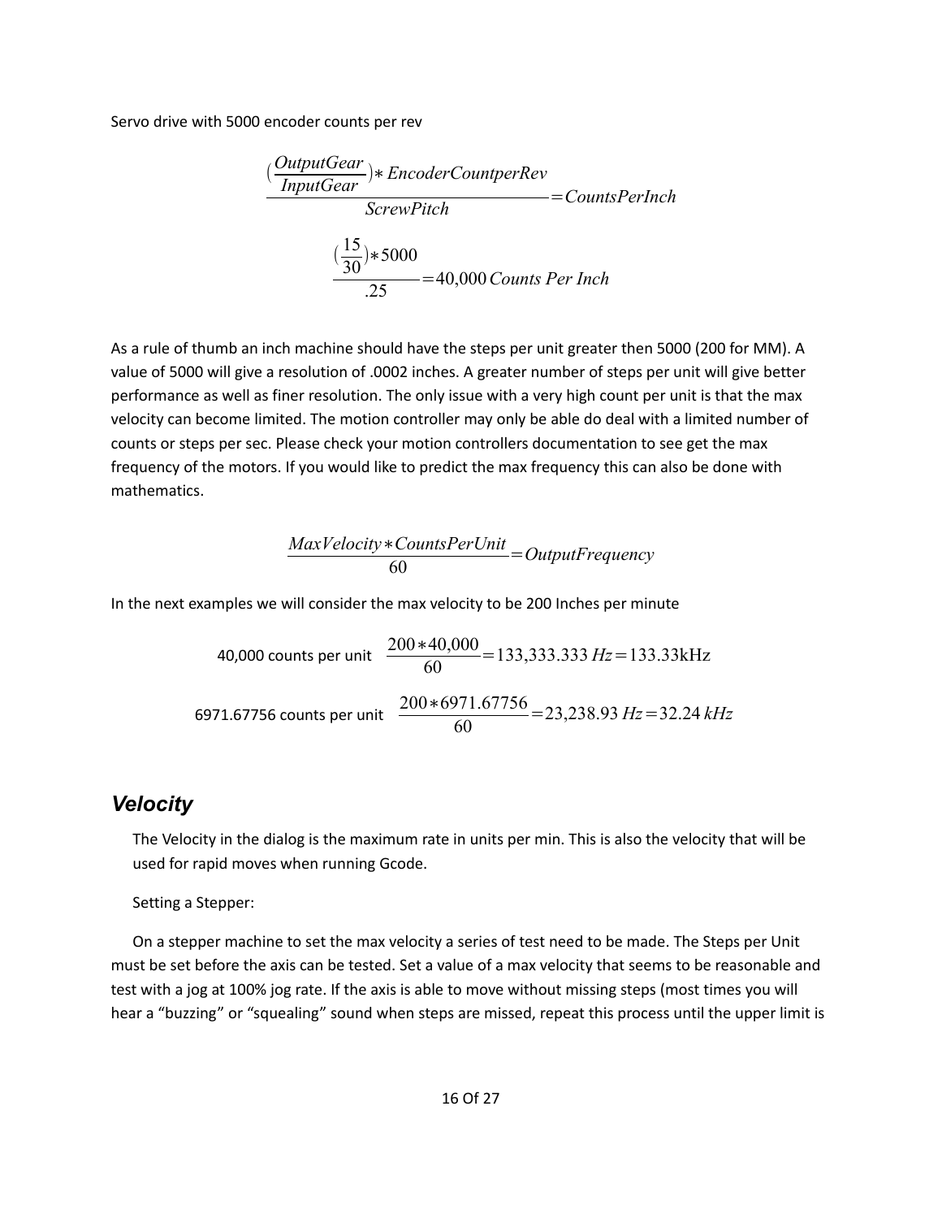Servo drive with 5000 encoder counts per rev

$$
\frac{(\frac{OutputGear}{InputGear}) *EncoderCounterRev}{ServerDict} = CountsPerInch
$$

$$
\frac{(\frac{15}{30}) * 5000}{.25} = 40,000 \text{ counts Per Inch}
$$

As a rule of thumb an inch machine should have the steps per unit greater then 5000 (200 for MM). A value of 5000 will give a resolution of .0002 inches. A greater number of steps per unit will give better performance as well as finer resolution. The only issue with a very high count per unit is that the max velocity can become limited. The motion controller may only be able do deal with a limited number of counts or steps per sec. Please check your motion controllers documentation to see get the max frequency of the motors. If you would like to predict the max frequency this can also be done with mathematics.

$$
\frac{MaxVelocity * CountsPerUnit}{60} = OutputFrequency
$$

In the next examples we will consider the max velocity to be 200 Inches per minute

40,000 counts per unit 
$$
\frac{200*40,000}{60} = 133,333.333 Hz = 133.33kHz
$$
  
6971.67756 counts per unit 
$$
\frac{200*6971.67756}{60} = 23,238.93 Hz = 32.24 kHz
$$

#### <span id="page-15-0"></span>*Velocity*

The Velocity in the dialog is the maximum rate in units per min. This is also the velocity that will be used for rapid moves when running Gcode.

Setting a Stepper:

On a stepper machine to set the max velocity a series of test need to be made. The Steps per Unit must be set before the axis can be tested. Set a value of a max velocity that seems to be reasonable and test with a jog at 100% jog rate. If the axis is able to move without missing steps (most times you will hear a "buzzing" or "squealing" sound when steps are missed, repeat this process until the upper limit is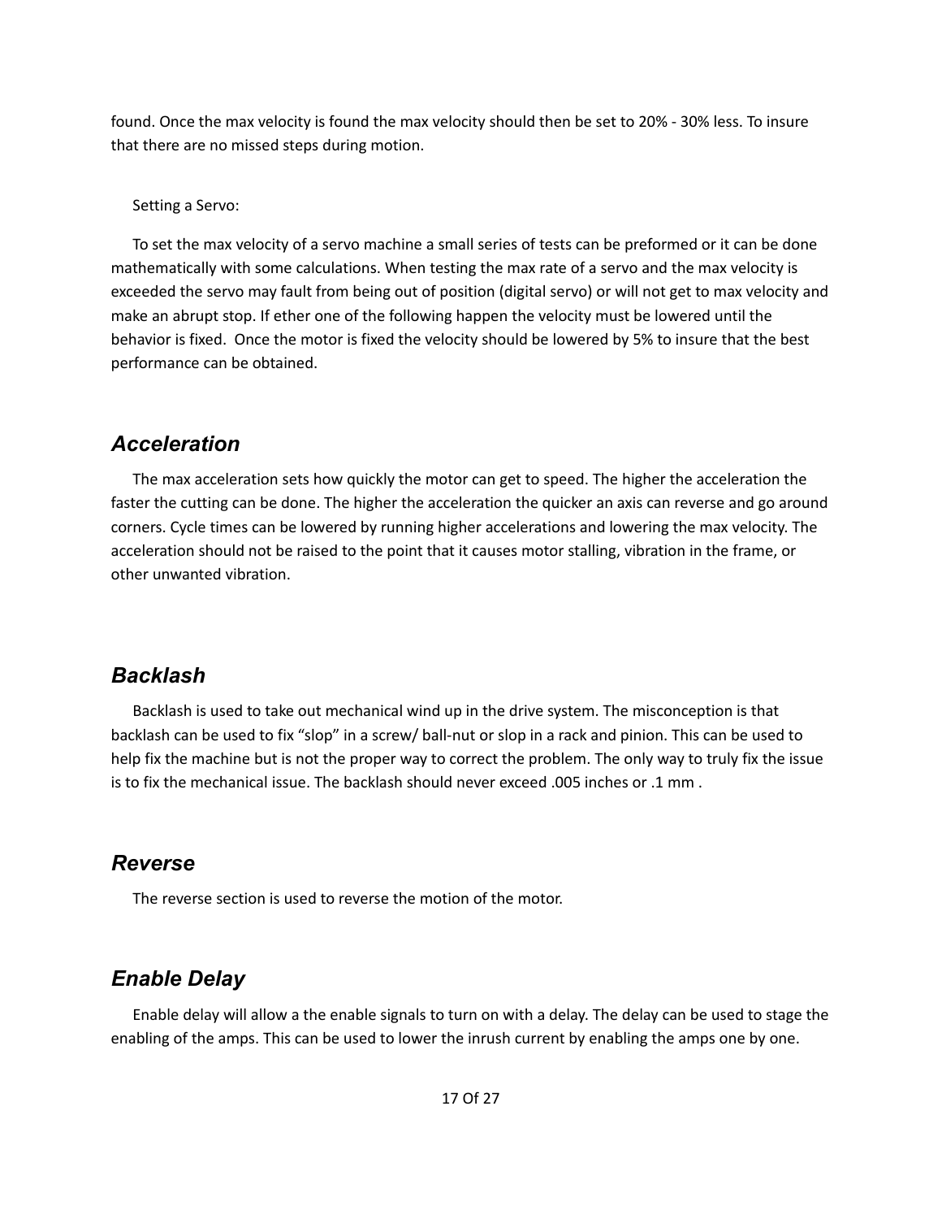found. Once the max velocity is found the max velocity should then be set to 20% - 30% less. To insure that there are no missed steps during motion.

Setting a Servo:

To set the max velocity of a servo machine a small series of tests can be preformed or it can be done mathematically with some calculations. When testing the max rate of a servo and the max velocity is exceeded the servo may fault from being out of position (digital servo) or will not get to max velocity and make an abrupt stop. If ether one of the following happen the velocity must be lowered until the behavior is fixed. Once the motor is fixed the velocity should be lowered by 5% to insure that the best performance can be obtained.

## <span id="page-16-3"></span>*Acceleration*

The max acceleration sets how quickly the motor can get to speed. The higher the acceleration the faster the cutting can be done. The higher the acceleration the quicker an axis can reverse and go around corners. Cycle times can be lowered by running higher accelerations and lowering the max velocity. The acceleration should not be raised to the point that it causes motor stalling, vibration in the frame, or other unwanted vibration.

## <span id="page-16-2"></span>*Backlash*

Backlash is used to take out mechanical wind up in the drive system. The misconception is that backlash can be used to fix "slop" in a screw/ ball-nut or slop in a rack and pinion. This can be used to help fix the machine but is not the proper way to correct the problem. The only way to truly fix the issue is to fix the mechanical issue. The backlash should never exceed .005 inches or .1 mm .

## <span id="page-16-1"></span>*Reverse*

The reverse section is used to reverse the motion of the motor.

# <span id="page-16-0"></span>*Enable Delay*

Enable delay will allow a the enable signals to turn on with a delay. The delay can be used to stage the enabling of the amps. This can be used to lower the inrush current by enabling the amps one by one.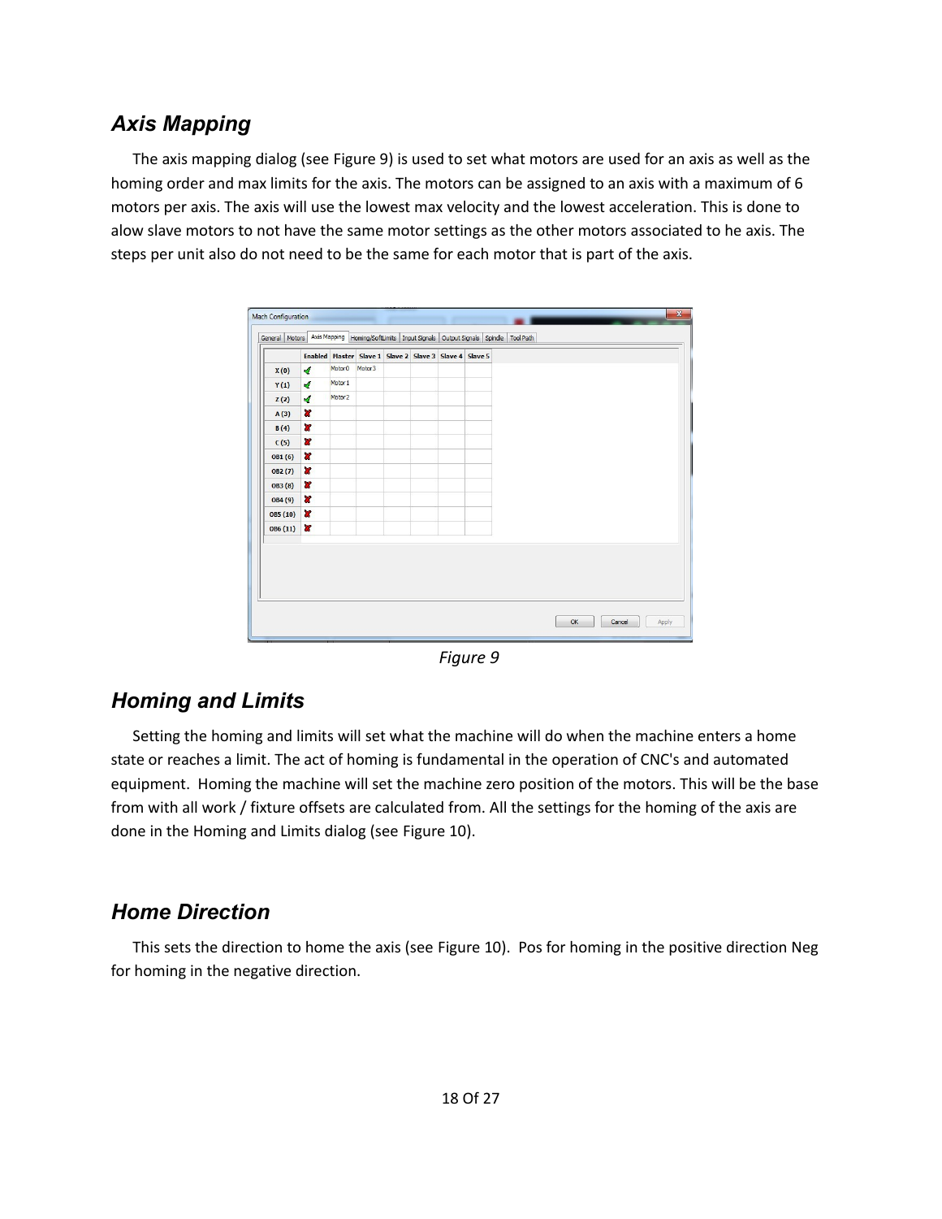## <span id="page-17-2"></span>*Axis Mapping*

The axis mapping dialog (see [Figure 9\)](#page-17-3) is used to set what motors are used for an axis as well as the homing order and max limits for the axis. The motors can be assigned to an axis with a maximum of 6 motors per axis. The axis will use the lowest max velocity and the lowest acceleration. This is done to alow slave motors to not have the same motor settings as the other motors associated to he axis. The steps per unit also do not need to be the same for each motor that is part of the axis.

|          |              |                    | Enabled Master Slave 1 Slave 2 Slave 3 Slave 4 Slave 5 |  |  |  |  |
|----------|--------------|--------------------|--------------------------------------------------------|--|--|--|--|
| X(0)     | ×,           | Motor <sub>0</sub> | Motor <sub>3</sub>                                     |  |  |  |  |
| Y(1)     | ∢            | Motor 1            |                                                        |  |  |  |  |
| Z(2)     | ∢            | Motor <sub>2</sub> |                                                        |  |  |  |  |
| A(3)     | ×            |                    |                                                        |  |  |  |  |
| B(4)     | ×            |                    |                                                        |  |  |  |  |
| C(5)     | $\mathbf{r}$ |                    |                                                        |  |  |  |  |
| OB1(6)   | ×            |                    |                                                        |  |  |  |  |
| OB2(7)   | $\mathbf{r}$ |                    |                                                        |  |  |  |  |
| OB3 (8)  | ×            |                    |                                                        |  |  |  |  |
| OB4 (9)  | ×            |                    |                                                        |  |  |  |  |
| OB5 (10) | ×            |                    |                                                        |  |  |  |  |
| OB6 (11) | ×            |                    |                                                        |  |  |  |  |
|          |              |                    |                                                        |  |  |  |  |
|          |              |                    |                                                        |  |  |  |  |
|          |              |                    |                                                        |  |  |  |  |
|          |              |                    |                                                        |  |  |  |  |

<span id="page-17-3"></span>*Figure 9*

## <span id="page-17-1"></span>*Homing and Limits*

Setting the homing and limits will set what the machine will do when the machine enters a home state or reaches a limit. The act of homing is fundamental in the operation of CNC's and automated equipment. Homing the machine will set the machine zero position of the motors. This will be the base from with all work / fixture offsets are calculated from. All the settings for the homing of the axis are done in the Homing and Limits dialog (see [Figure 10\)](#page-18-3).

## <span id="page-17-0"></span>*Home Direction*

This sets the direction to home the axis (see [Figure 10\)](#page-18-3). Pos for homing in the positive direction Neg for homing in the negative direction.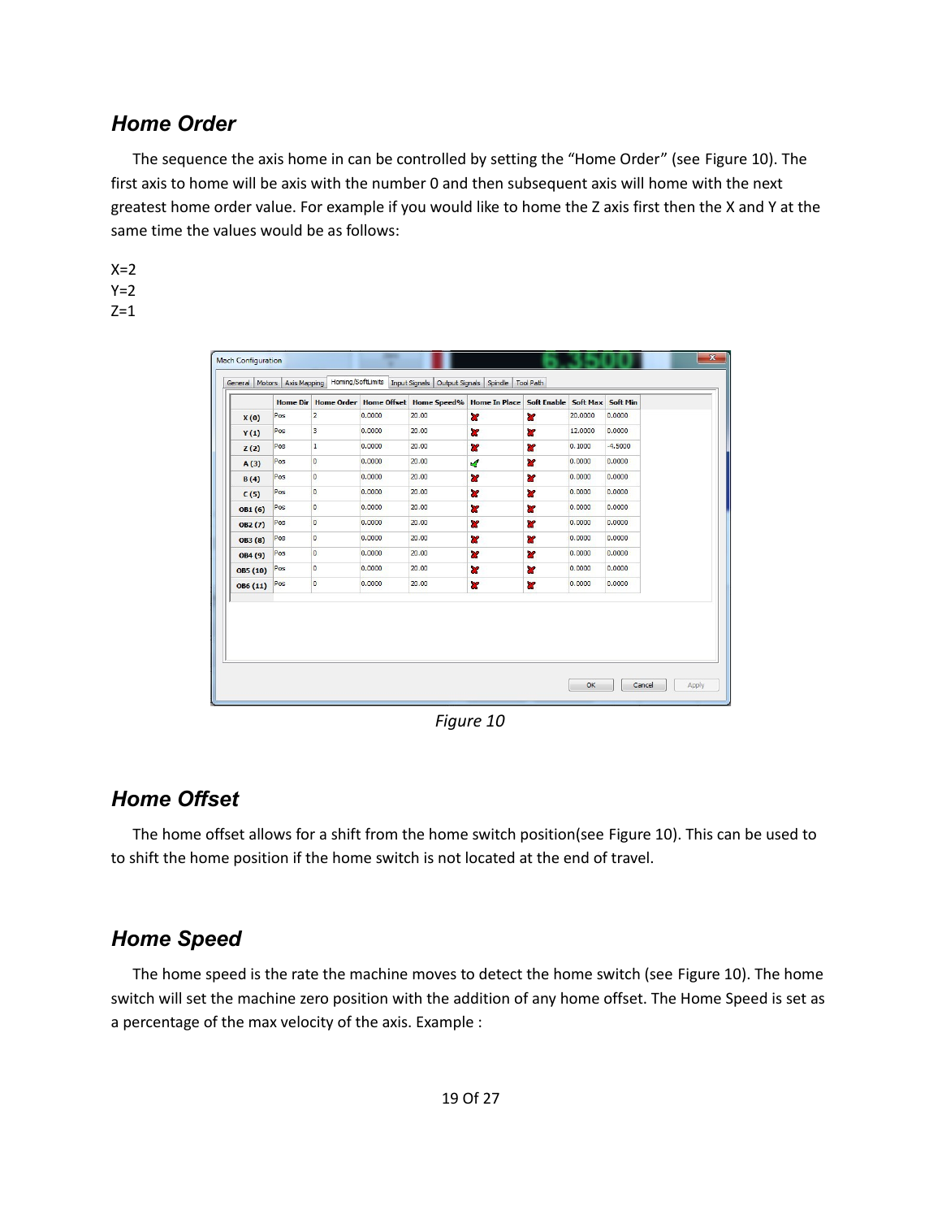## <span id="page-18-2"></span>*Home Order*

The sequence the axis home in can be controlled by setting the "Home Order" (see [Figure 10\)](#page-18-3). The first axis to home will be axis with the number 0 and then subsequent axis will home with the next greatest home order value. For example if you would like to home the Z axis first then the X and Y at the same time the values would be as follows:

 $X=2$  $Y=2$  $Z=1$ 

|          | <b>Home Dir</b> |                         |        | Home Order Home Offset Home Speed% Home In Place Soft Enable |                         |                         | Soft Max Soft Min |           |
|----------|-----------------|-------------------------|--------|--------------------------------------------------------------|-------------------------|-------------------------|-------------------|-----------|
| X(0)     | Pos             | $\overline{2}$          | 0.0000 | 20.00                                                        | $\mathbf{z}$            | $\mathbf{z}$            | 20,0000           | 0.0000    |
| Y(1)     | Pos             | 3                       | 0.0000 | 20.00                                                        | Y                       | ×                       | 12,0000           | 0.0000    |
| Z(2)     | Pos             | $\mathbf{1}$            | 0.0000 | 20.00                                                        | æ                       | ×                       | 0.1000            | $-4.5000$ |
| A(3)     | Pos             | $\mathbf 0$             | 0.0000 | 20.00                                                        | $\mathcal{A}$           | ×                       | 0.0000            | 0.0000    |
| B(4)     | Pos             | O                       | 0.0000 | 20.00                                                        | <b>a</b>                | <b>a</b>                | 0.0000            | 0.0000    |
| C(5)     | Pos             | $\overline{0}$          | 0.0000 | 20.00                                                        | Y                       | $\mathbf{r}$            | 0.0000            | 0.0000    |
| OB1(6)   | Pos             | $\overline{0}$          | 0.0000 | 20.00                                                        | $\overline{\mathbf{x}}$ | $\overline{\mathbf{x}}$ | 0.0000            | 0.0000    |
| OB2 (7)  | Pos             | $\overline{\mathbf{0}}$ | 0.0000 | 20.00                                                        | ×                       | ×                       | 0.0000            | 0.0000    |
| OB3(8)   | Pos             | $\circ$                 | 0.0000 | 20.00                                                        | ×                       | <b>R</b>                | 0.0000            | 0.0000    |
| OB4 (9)  | Pos             | $\circ$                 | 0.0000 | 20.00                                                        | Y                       | 8Z                      | 0.0000            | 0.0000    |
| OB5 (10) | Pos             | o                       | 0.0000 | 20.00                                                        | ×                       | ×                       | 0.0000            | 0.0000    |
| OB6 (11) | Pos             | $\circ$                 | 0.0000 | 20.00                                                        | <b>R</b>                | $\overline{\mathbf{x}}$ | 0.0000            | 0.0000    |
|          |                 |                         |        |                                                              |                         |                         |                   |           |

<span id="page-18-3"></span>*Figure 10*

## <span id="page-18-1"></span>*Home Offset*

The home offset allows for a shift from the home switch position(see [Figure 10\)](#page-18-3). This can be used to to shift the home position if the home switch is not located at the end of travel.

## <span id="page-18-0"></span>*Home Speed*

The home speed is the rate the machine moves to detect the home switch (see [Figure 10\)](#page-18-3). The home switch will set the machine zero position with the addition of any home offset. The Home Speed is set as a percentage of the max velocity of the axis. Example :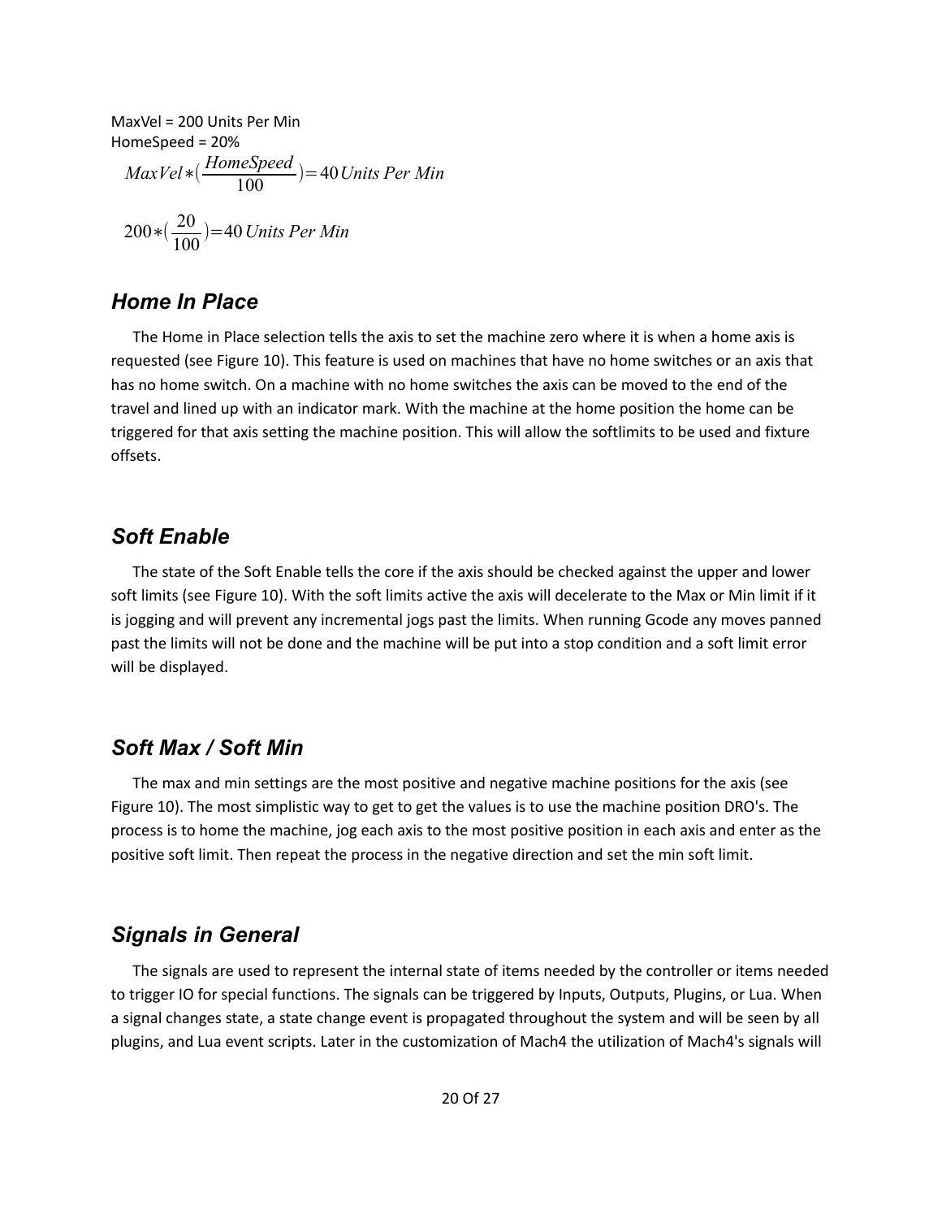$$
MaxVel = 200 Units Per Min
$$
  
HomeSpeed = 20%  

$$
MaxVel * (\frac{HomeSpeed}{100}) = 40 Units Per Min
$$
  

$$
200 * (\frac{20}{100}) = 40 Units Per Min
$$

#### <span id="page-19-3"></span>*Home In Place*

The Home in Place selection tells the axis to set the machine zero where it is when a home axis is requested (see [Figure 10\)](#page-18-3). This feature is used on machines that have no home switches or an axis that has no home switch. On a machine with no home switches the axis can be moved to the end of the travel and lined up with an indicator mark. With the machine at the home position the home can be triggered for that axis setting the machine position. This will allow the softlimits to be used and fixture offsets.

#### <span id="page-19-2"></span>*Soft Enable*

The state of the Soft Enable tells the core if the axis should be checked against the upper and lower soft limits (see [Figure 10\)](#page-18-3). With the soft limits active the axis will decelerate to the Max or Min limit if it is jogging and will prevent any incremental jogs past the limits. When running Gcode any moves panned past the limits will not be done and the machine will be put into a stop condition and a soft limit error will be displayed.

### <span id="page-19-1"></span>*Soft Max / Soft Min*

The max and min settings are the most positive and negative machine positions for the axis (se[e](#page-18-3) [Figure 10\)](#page-18-3). The most simplistic way to get to get the values is to use the machine position DRO's. The process is to home the machine, jog each axis to the most positive position in each axis and enter as the positive soft limit. Then repeat the process in the negative direction and set the min soft limit.

#### <span id="page-19-0"></span>*Signals in General*

The signals are used to represent the internal state of items needed by the controller or items needed to trigger IO for special functions. The signals can be triggered by Inputs, Outputs, Plugins, or Lua. When a signal changes state, a state change event is propagated throughout the system and will be seen by all plugins, and Lua event scripts. Later in the customization of Mach4 the utilization of Mach4's signals will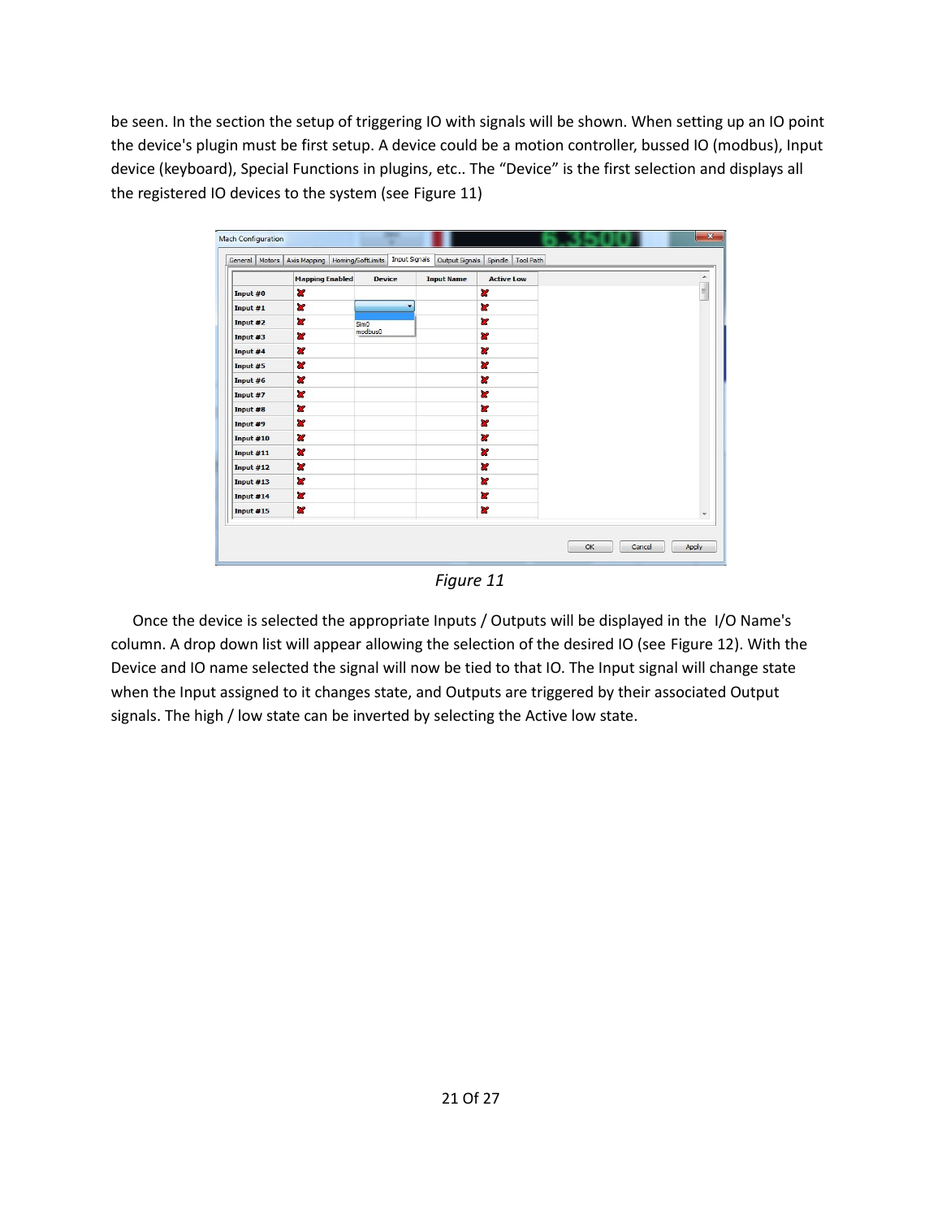be seen. In the section the setup of triggering IO with signals will be shown. When setting up an IO point the device's plugin must be first setup. A device could be a motion controller, bussed IO (modbus), Input device (keyboard), Special Functions in plugins, etc.. The "Device" is the first selection and displays all the registered IO devices to the system (see [Figure 11\)](#page-20-0)

|             | <b>Mapping Enabled</b>  | <b>Device</b>    | <b>Input Name</b> | <b>Active Low</b> | $\blacktriangle$ |
|-------------|-------------------------|------------------|-------------------|-------------------|------------------|
| Input #0    | ×                       |                  |                   | ×                 | $\blacksquare$   |
| Input #1    | <b>SS</b>               | ٠                |                   | æ                 |                  |
| Input #2    | <b>R</b>                | Sim <sub>0</sub> |                   | ×                 |                  |
| Input #3    | <b>SP</b>               | <i>modbus0</i>   |                   | <b>SP</b>         |                  |
| Input #4    | ×                       |                  |                   | Y                 |                  |
| Input #5    | ×                       |                  |                   | ×                 |                  |
| Input #6    | ×                       |                  |                   | Y                 |                  |
| Input #7    | $\overline{\mathbf{x}}$ |                  |                   | ×                 |                  |
| Input #8    | ×                       |                  |                   | ×                 |                  |
| Input #9    | ×                       |                  |                   | ×                 |                  |
| Input #10   | æ                       |                  |                   | ×                 |                  |
| Input $#11$ | <b>R</b>                |                  |                   | ×                 |                  |
| Input $#12$ | ×                       |                  |                   | æ                 |                  |
| Input $#13$ | ×                       |                  |                   | æ                 |                  |
| Input $#14$ | ×                       |                  |                   | æ                 |                  |
| Input #15   | $\overline{\mathbf{x}}$ |                  |                   | <b>SC</b>         |                  |

<span id="page-20-0"></span>*Figure 11*

Once the device is selected the appropriate Inputs / Outputs will be displayed in the I/O Name's column. A drop down list will appear allowing the selection of the desired IO (see [Figure 12\)](#page-21-0). With the Device and IO name selected the signal will now be tied to that IO. The Input signal will change state when the Input assigned to it changes state, and Outputs are triggered by their associated Output signals. The high / low state can be inverted by selecting the Active low state.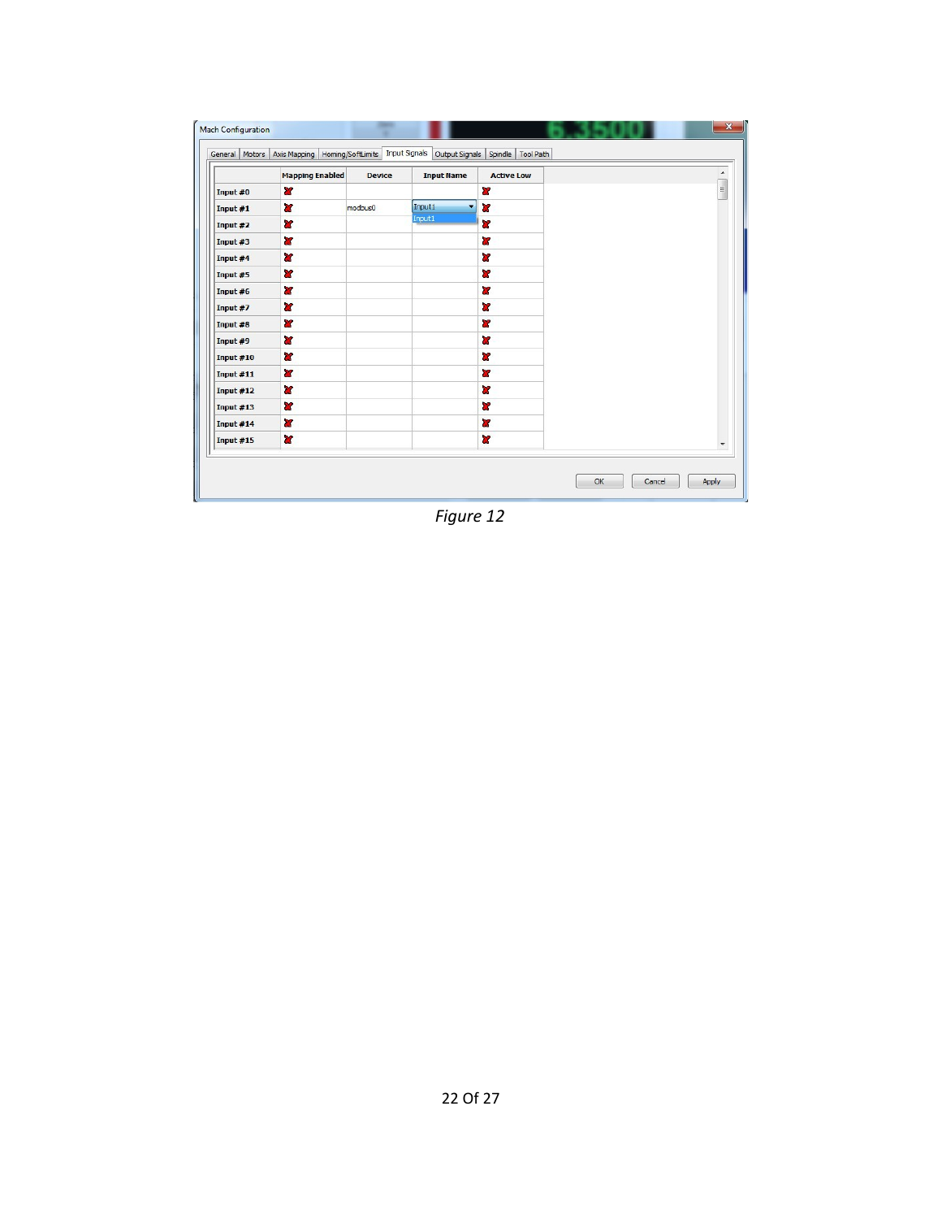|             | <b>Mapping Enabled</b>  | <b>Device</b> | <b>Input Name</b> | <b>Active Low</b> | ▲                        |
|-------------|-------------------------|---------------|-------------------|-------------------|--------------------------|
| Input #0    | X                       |               |                   | ×                 | $\blacksquare$           |
| Input #1    | ×                       | modbus0       | Input1<br>¥       | ×                 |                          |
| Input #2    | X                       |               | Input1            | <b>R</b>          |                          |
| Input #3    | æ                       |               |                   | ×                 |                          |
| Input #4    | Y                       |               |                   | ×                 |                          |
| Input #5    | $\mathbf{x}$            |               |                   | <b>R</b>          |                          |
| Input #6    | 87                      |               |                   | ×                 |                          |
| Input #7    | $\mathbf{x}$            |               |                   | ×                 |                          |
| Input #8    | æ                       |               |                   | ×                 |                          |
| Input #9    | $\overline{\mathbf{x}}$ |               |                   | ×                 |                          |
| Input $#10$ | $\mathbf{r}$            |               |                   | <b>Y</b>          |                          |
| Input #11   | $\overline{\mathbf{x}}$ |               |                   | X                 |                          |
| Input #12   | $\mathbf{r}$            |               |                   | ×                 |                          |
| Input $#13$ | $\mathbf{x}$            |               |                   | <b>R</b>          |                          |
| Input #14   | $\overline{a}$          |               |                   | Y                 |                          |
| Input #15   | $\mathbf{r}$            |               |                   | $\mathbf{x}$      | $\overline{\phantom{a}}$ |

<span id="page-21-0"></span>*Figure 12*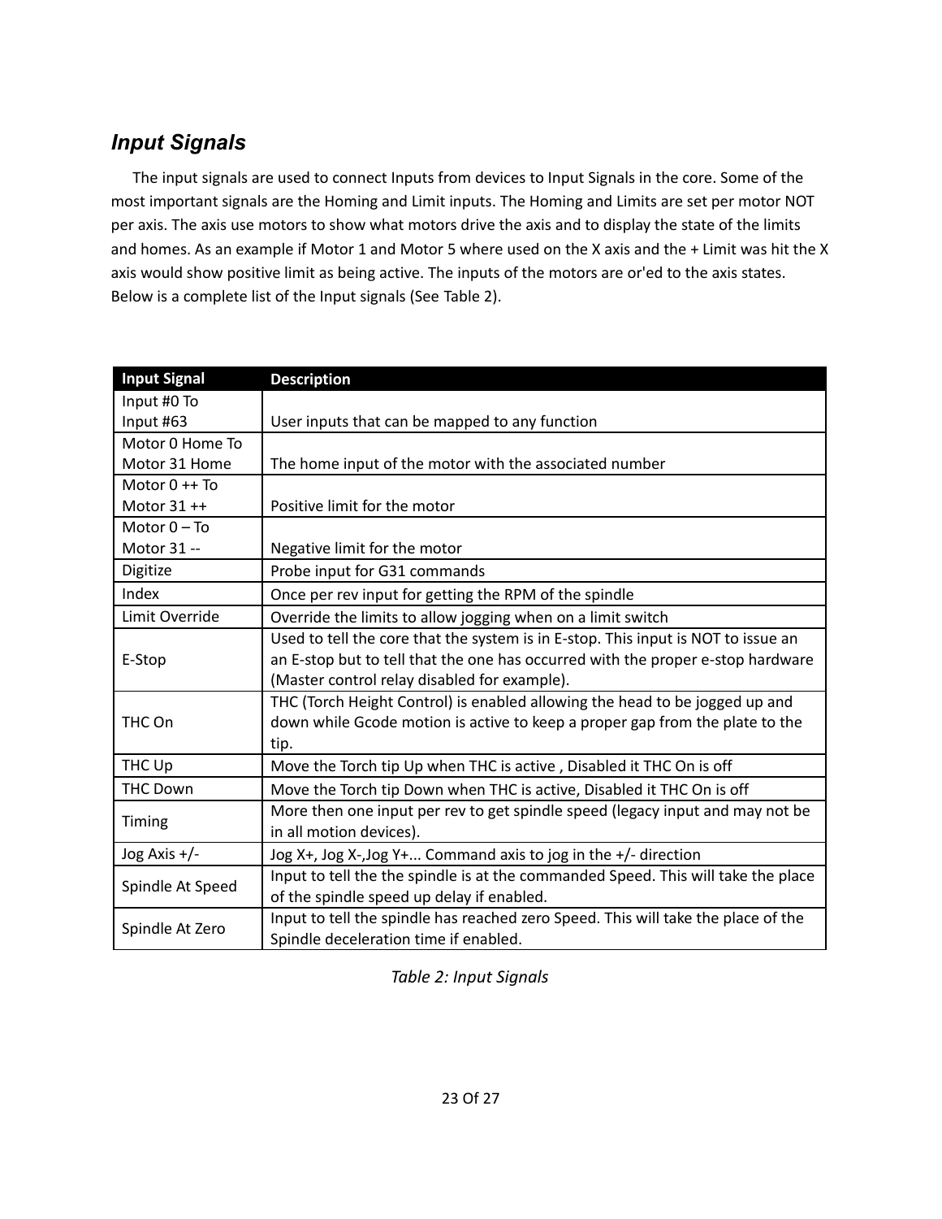# <span id="page-22-0"></span>*Input Signals*

The input signals are used to connect Inputs from devices to Input Signals in the core. Some of the most important signals are the Homing and Limit inputs. The Homing and Limits are set per motor NOT per axis. The axis use motors to show what motors drive the axis and to display the state of the limits and homes. As an example if Motor 1 and Motor 5 where used on the X axis and the + Limit was hit the X axis would show positive limit as being active. The inputs of the motors are or'ed to the axis states. Below is a complete list of the Input signals (See [Table 2\)](#page-22-1).

| <b>Input Signal</b> | <b>Description</b>                                                                |
|---------------------|-----------------------------------------------------------------------------------|
| Input #0 To         |                                                                                   |
| Input #63           | User inputs that can be mapped to any function                                    |
| Motor 0 Home To     |                                                                                   |
| Motor 31 Home       | The home input of the motor with the associated number                            |
| Motor $0 + F$       |                                                                                   |
| Motor $31++$        | Positive limit for the motor                                                      |
| Motor $0 - To$      |                                                                                   |
| Motor 31 --         | Negative limit for the motor                                                      |
| Digitize            | Probe input for G31 commands                                                      |
| Index               | Once per rev input for getting the RPM of the spindle                             |
| Limit Override      | Override the limits to allow jogging when on a limit switch                       |
|                     | Used to tell the core that the system is in E-stop. This input is NOT to issue an |
| E-Stop              | an E-stop but to tell that the one has occurred with the proper e-stop hardware   |
|                     | (Master control relay disabled for example).                                      |
|                     | THC (Torch Height Control) is enabled allowing the head to be jogged up and       |
| THC On              | down while Gcode motion is active to keep a proper gap from the plate to the      |
|                     | tip.                                                                              |
| THC Up              | Move the Torch tip Up when THC is active, Disabled it THC On is off               |
| <b>THC Down</b>     | Move the Torch tip Down when THC is active, Disabled it THC On is off             |
|                     | More then one input per rev to get spindle speed (legacy input and may not be     |
| Timing              | in all motion devices).                                                           |
| Jog Axis +/-        | Jog X+, Jog X-, Jog Y+ Command axis to jog in the +/- direction                   |
|                     | Input to tell the the spindle is at the commanded Speed. This will take the place |
| Spindle At Speed    | of the spindle speed up delay if enabled.                                         |
|                     | Input to tell the spindle has reached zero Speed. This will take the place of the |
| Spindle At Zero     | Spindle deceleration time if enabled.                                             |

<span id="page-22-1"></span>*Table 2: Input Signals*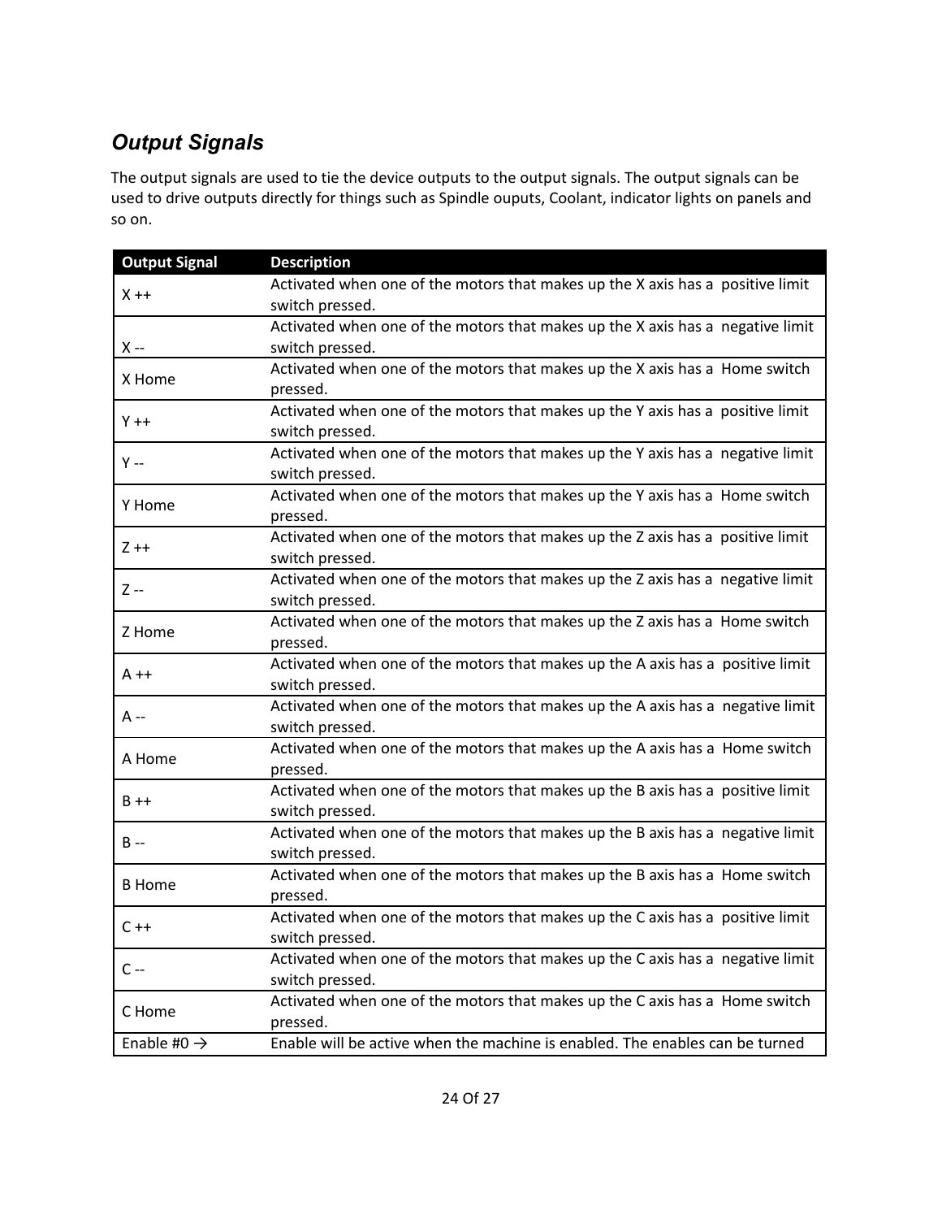# <span id="page-23-0"></span>*Output Signals*

The output signals are used to tie the device outputs to the output signals. The output signals can be used to drive outputs directly for things such as Spindle ouputs, Coolant, indicator lights on panels and so on.

| <b>Output Signal</b>    | <b>Description</b>                                                             |
|-------------------------|--------------------------------------------------------------------------------|
| $X + +$                 | Activated when one of the motors that makes up the X axis has a positive limit |
|                         | switch pressed.                                                                |
|                         | Activated when one of the motors that makes up the X axis has a negative limit |
| X --                    | switch pressed.                                                                |
| X Home                  | Activated when one of the motors that makes up the X axis has a Home switch    |
|                         | pressed.                                                                       |
| $Y + +$                 | Activated when one of the motors that makes up the Y axis has a positive limit |
|                         | switch pressed.                                                                |
| Y --                    | Activated when one of the motors that makes up the Y axis has a negative limit |
|                         | switch pressed.                                                                |
| Y Home                  | Activated when one of the motors that makes up the Y axis has a Home switch    |
|                         | pressed.                                                                       |
| $Z + +$                 | Activated when one of the motors that makes up the Z axis has a positive limit |
|                         | switch pressed.                                                                |
|                         | Activated when one of the motors that makes up the Z axis has a negative limit |
| Z --                    | switch pressed.                                                                |
|                         | Activated when one of the motors that makes up the Z axis has a Home switch    |
| Z Home                  | pressed.                                                                       |
|                         | Activated when one of the motors that makes up the A axis has a positive limit |
| A ++                    | switch pressed.                                                                |
|                         | Activated when one of the motors that makes up the A axis has a negative limit |
| A --                    | switch pressed.                                                                |
|                         | Activated when one of the motors that makes up the A axis has a Home switch    |
| A Home                  | pressed.                                                                       |
|                         | Activated when one of the motors that makes up the B axis has a positive limit |
| $B + +$                 | switch pressed.                                                                |
|                         | Activated when one of the motors that makes up the B axis has a negative limit |
| $B -$                   | switch pressed.                                                                |
|                         | Activated when one of the motors that makes up the B axis has a Home switch    |
| <b>B</b> Home           | pressed.                                                                       |
|                         | Activated when one of the motors that makes up the C axis has a positive limit |
| $C + +$                 | switch pressed.                                                                |
|                         | Activated when one of the motors that makes up the C axis has a negative limit |
| $C -$                   | switch pressed.                                                                |
|                         | Activated when one of the motors that makes up the C axis has a Home switch    |
| C Home                  | pressed.                                                                       |
| Enable #0 $\rightarrow$ | Enable will be active when the machine is enabled. The enables can be turned   |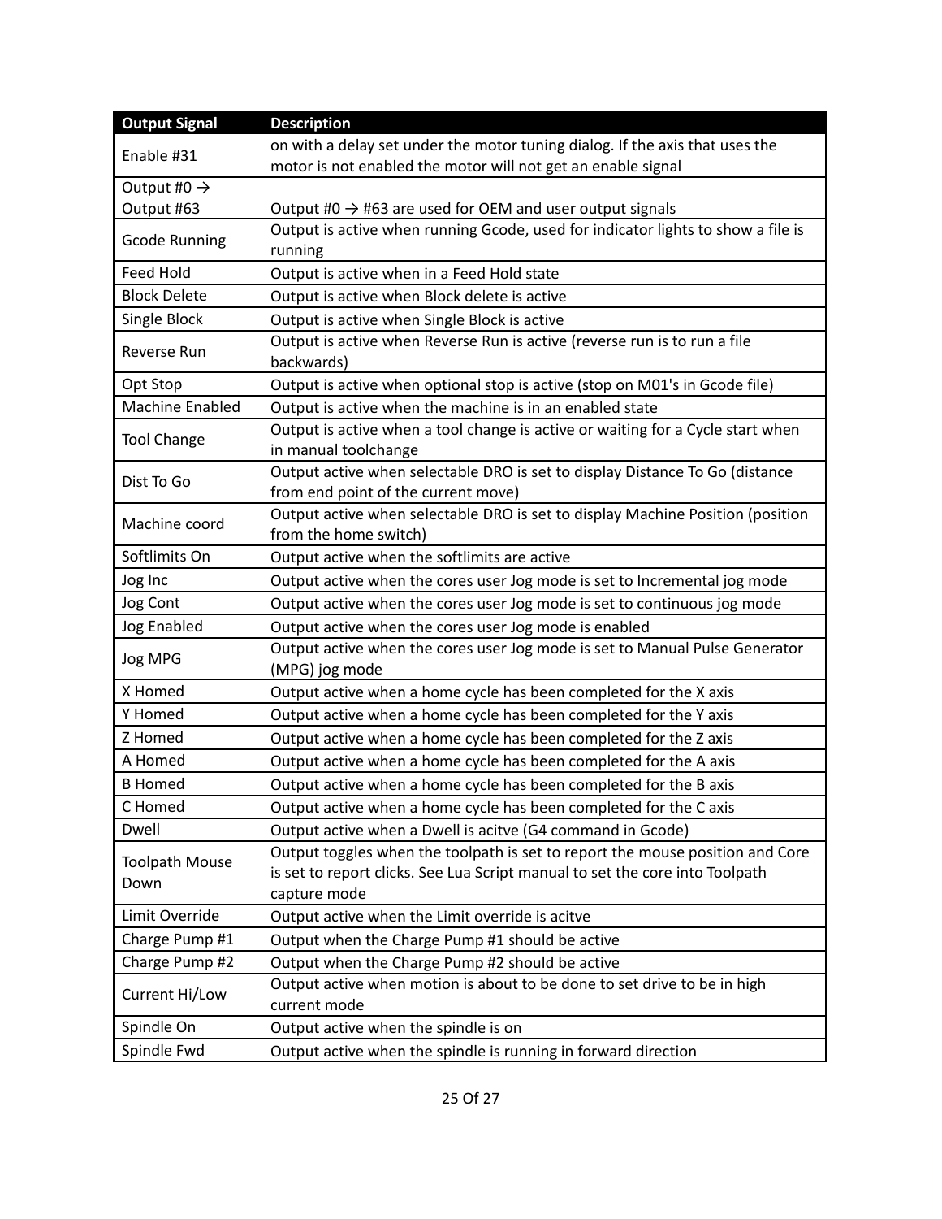| <b>Output Signal</b>                                                                                                          | <b>Description</b>                                                                                      |  |
|-------------------------------------------------------------------------------------------------------------------------------|---------------------------------------------------------------------------------------------------------|--|
| Enable #31                                                                                                                    | on with a delay set under the motor tuning dialog. If the axis that uses the                            |  |
| Output #0 $\rightarrow$                                                                                                       | motor is not enabled the motor will not get an enable signal                                            |  |
| Output #63                                                                                                                    | Output #0 $\rightarrow$ #63 are used for OEM and user output signals                                    |  |
|                                                                                                                               | Output is active when running Gcode, used for indicator lights to show a file is                        |  |
| <b>Gcode Running</b>                                                                                                          | running                                                                                                 |  |
| <b>Feed Hold</b>                                                                                                              | Output is active when in a Feed Hold state                                                              |  |
| <b>Block Delete</b>                                                                                                           | Output is active when Block delete is active                                                            |  |
| Single Block                                                                                                                  | Output is active when Single Block is active                                                            |  |
| Reverse Run                                                                                                                   | Output is active when Reverse Run is active (reverse run is to run a file<br>backwards)                 |  |
| Opt Stop                                                                                                                      | Output is active when optional stop is active (stop on M01's in Gcode file)                             |  |
| Machine Enabled                                                                                                               | Output is active when the machine is in an enabled state                                                |  |
| Output is active when a tool change is active or waiting for a Cycle start when<br><b>Tool Change</b><br>in manual toolchange |                                                                                                         |  |
| Output active when selectable DRO is set to display Distance To Go (distance<br>Dist To Go                                    |                                                                                                         |  |
|                                                                                                                               | from end point of the current move)                                                                     |  |
| Machine coord                                                                                                                 | Output active when selectable DRO is set to display Machine Position (position<br>from the home switch) |  |
| Softlimits On                                                                                                                 | Output active when the softlimits are active                                                            |  |
| Jog Inc                                                                                                                       | Output active when the cores user Jog mode is set to Incremental jog mode                               |  |
| Jog Cont                                                                                                                      | Output active when the cores user Jog mode is set to continuous jog mode                                |  |
| <b>Jog Enabled</b>                                                                                                            | Output active when the cores user Jog mode is enabled                                                   |  |
| Jog MPG                                                                                                                       | Output active when the cores user Jog mode is set to Manual Pulse Generator<br>(MPG) jog mode           |  |
| X Homed                                                                                                                       | Output active when a home cycle has been completed for the X axis                                       |  |
| Y Homed                                                                                                                       | Output active when a home cycle has been completed for the Y axis                                       |  |
| Z Homed                                                                                                                       | Output active when a home cycle has been completed for the Z axis                                       |  |
| A Homed                                                                                                                       | Output active when a home cycle has been completed for the A axis                                       |  |
| <b>B</b> Homed                                                                                                                | Output active when a home cycle has been completed for the B axis                                       |  |
| C Homed                                                                                                                       | Output active when a home cycle has been completed for the C axis                                       |  |
| Dwell                                                                                                                         | Output active when a Dwell is acitve (G4 command in Gcode)                                              |  |
|                                                                                                                               | Output toggles when the toolpath is set to report the mouse position and Core                           |  |
| <b>Toolpath Mouse</b>                                                                                                         | is set to report clicks. See Lua Script manual to set the core into Toolpath                            |  |
| Down                                                                                                                          | capture mode                                                                                            |  |
| Limit Override                                                                                                                | Output active when the Limit override is acitve                                                         |  |
| Charge Pump #1                                                                                                                | Output when the Charge Pump #1 should be active                                                         |  |
| Charge Pump #2                                                                                                                | Output when the Charge Pump #2 should be active                                                         |  |
| Current Hi/Low                                                                                                                | Output active when motion is about to be done to set drive to be in high                                |  |
|                                                                                                                               | current mode                                                                                            |  |
| Spindle On                                                                                                                    | Output active when the spindle is on                                                                    |  |
| Spindle Fwd                                                                                                                   | Output active when the spindle is running in forward direction                                          |  |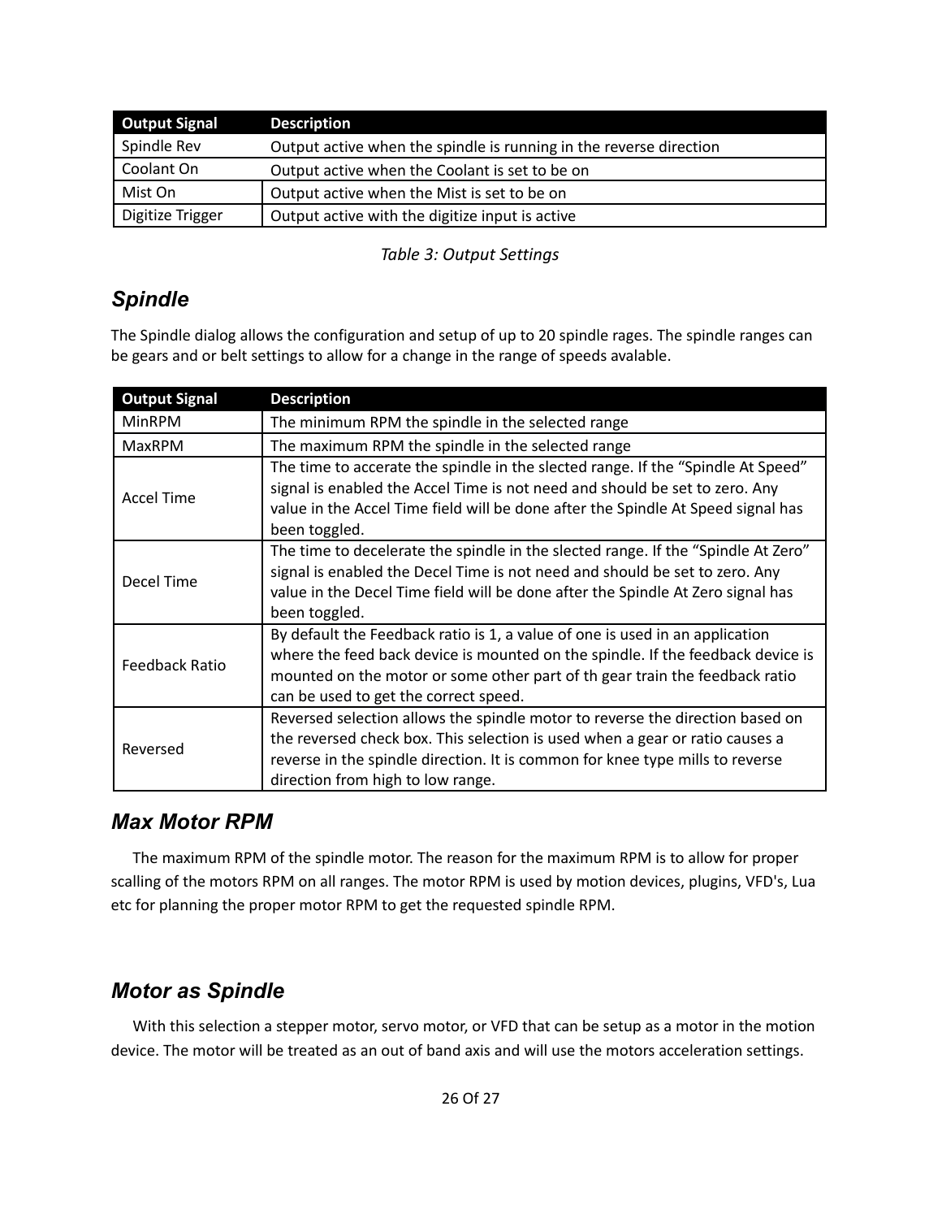| <b>Output Signal</b> | <b>Description</b>                                                 |
|----------------------|--------------------------------------------------------------------|
| Spindle Rev          | Output active when the spindle is running in the reverse direction |
| Coolant On           | Output active when the Coolant is set to be on                     |
| Mist On              | Output active when the Mist is set to be on                        |
| Digitize Trigger     | Output active with the digitize input is active                    |

*Table 3: Output Settings*

# <span id="page-25-2"></span>*Spindle*

The Spindle dialog allows the configuration and setup of up to 20 spindle rages. The spindle ranges can be gears and or belt settings to allow for a change in the range of speeds avalable.

| <b>Output Signal</b> | <b>Description</b>                                                                                                                                                                                                                                                                      |  |  |
|----------------------|-----------------------------------------------------------------------------------------------------------------------------------------------------------------------------------------------------------------------------------------------------------------------------------------|--|--|
| <b>MinRPM</b>        | The minimum RPM the spindle in the selected range                                                                                                                                                                                                                                       |  |  |
| <b>MaxRPM</b>        | The maximum RPM the spindle in the selected range                                                                                                                                                                                                                                       |  |  |
| <b>Accel Time</b>    | The time to accerate the spindle in the slected range. If the "Spindle At Speed"<br>signal is enabled the Accel Time is not need and should be set to zero. Any<br>value in the Accel Time field will be done after the Spindle At Speed signal has<br>been toggled.                    |  |  |
| Decel Time           | The time to decelerate the spindle in the slected range. If the "Spindle At Zero"<br>signal is enabled the Decel Time is not need and should be set to zero. Any<br>value in the Decel Time field will be done after the Spindle At Zero signal has<br>been toggled.                    |  |  |
| Feedback Ratio       | By default the Feedback ratio is 1, a value of one is used in an application<br>where the feed back device is mounted on the spindle. If the feedback device is<br>mounted on the motor or some other part of th gear train the feedback ratio<br>can be used to get the correct speed. |  |  |
| Reversed             | Reversed selection allows the spindle motor to reverse the direction based on<br>the reversed check box. This selection is used when a gear or ratio causes a<br>reverse in the spindle direction. It is common for knee type mills to reverse<br>direction from high to low range.     |  |  |

# <span id="page-25-1"></span>*Max Motor RPM*

The maximum RPM of the spindle motor. The reason for the maximum RPM is to allow for proper scalling of the motors RPM on all ranges. The motor RPM is used by motion devices, plugins, VFD's, Lua etc for planning the proper motor RPM to get the requested spindle RPM.

# <span id="page-25-0"></span>*Motor as Spindle*

With this selection a stepper motor, servo motor, or VFD that can be setup as a motor in the motion device. The motor will be treated as an out of band axis and will use the motors acceleration settings.